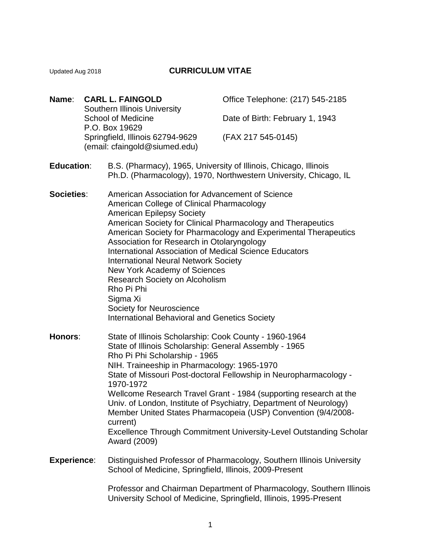## Updated Aug 2018 **CURRICULUM VITAE**

| Name: | <b>CARL L. FAINGOLD</b>                                          | Office Telephone: (217) 545-2185 |
|-------|------------------------------------------------------------------|----------------------------------|
|       | <b>Southern Illinois University</b><br><b>School of Medicine</b> | Date of Birth: February 1, 1943  |
|       | P.O. Box 19629<br>Springfield, Illinois 62794-9629               | (FAX 217 545-0145)               |
|       | (email: cfaingold@siumed.edu)                                    |                                  |

- **Education**: B.S. (Pharmacy), 1965, University of Illinois, Chicago, Illinois Ph.D. (Pharmacology), 1970, Northwestern University, Chicago, IL
- **Societies**: American Association for Advancement of Science American College of Clinical Pharmacology American Epilepsy Society American Society for Clinical Pharmacology and Therapeutics American Society for Pharmacology and Experimental Therapeutics Association for Research in Otolaryngology International Association of Medical Science Educators International Neural Network Society New York Academy of Sciences Research Society on Alcoholism Rho Pi Phi Sigma Xi Society for Neuroscience International Behavioral and Genetics Society

**Honors**: State of Illinois Scholarship: Cook County - 1960-1964 State of Illinois Scholarship: General Assembly - 1965 Rho Pi Phi Scholarship - 1965 NIH. Traineeship in Pharmacology: 1965-1970 State of Missouri Post-doctoral Fellowship in Neuropharmacology - 1970-1972 Wellcome Research Travel Grant - 1984 (supporting research at the Univ. of London, Institute of Psychiatry, Department of Neurology) Member United States Pharmacopeia (USP) Convention (9/4/2008 current) Excellence Through Commitment University-Level Outstanding Scholar Award (2009)

#### **Experience**: Distinguished Professor of Pharmacology, Southern Illinois University School of Medicine, Springfield, Illinois, 2009-Present

Professor and Chairman Department of Pharmacology, Southern Illinois University School of Medicine, Springfield, Illinois, 1995-Present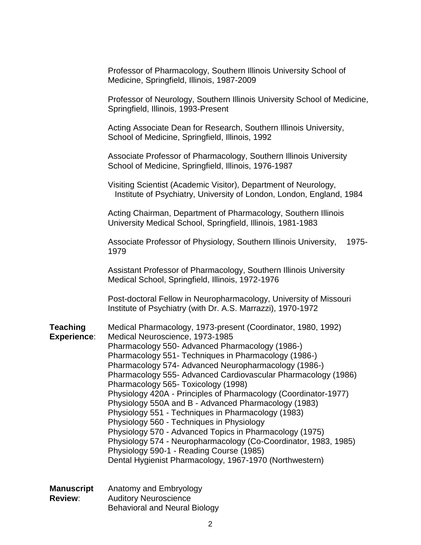|                                | Professor of Pharmacology, Southern Illinois University School of<br>Medicine, Springfield, Illinois, 1987-2009                                                                                                                                                                                                                                                                                                                                                                                                                                                                                                                                                                                                                                                                                                                               |
|--------------------------------|-----------------------------------------------------------------------------------------------------------------------------------------------------------------------------------------------------------------------------------------------------------------------------------------------------------------------------------------------------------------------------------------------------------------------------------------------------------------------------------------------------------------------------------------------------------------------------------------------------------------------------------------------------------------------------------------------------------------------------------------------------------------------------------------------------------------------------------------------|
|                                | Professor of Neurology, Southern Illinois University School of Medicine,<br>Springfield, Illinois, 1993-Present                                                                                                                                                                                                                                                                                                                                                                                                                                                                                                                                                                                                                                                                                                                               |
|                                | Acting Associate Dean for Research, Southern Illinois University,<br>School of Medicine, Springfield, Illinois, 1992                                                                                                                                                                                                                                                                                                                                                                                                                                                                                                                                                                                                                                                                                                                          |
|                                | Associate Professor of Pharmacology, Southern Illinois University<br>School of Medicine, Springfield, Illinois, 1976-1987                                                                                                                                                                                                                                                                                                                                                                                                                                                                                                                                                                                                                                                                                                                     |
|                                | Visiting Scientist (Academic Visitor), Department of Neurology,<br>Institute of Psychiatry, University of London, London, England, 1984                                                                                                                                                                                                                                                                                                                                                                                                                                                                                                                                                                                                                                                                                                       |
|                                | Acting Chairman, Department of Pharmacology, Southern Illinois<br>University Medical School, Springfield, Illinois, 1981-1983                                                                                                                                                                                                                                                                                                                                                                                                                                                                                                                                                                                                                                                                                                                 |
|                                | Associate Professor of Physiology, Southern Illinois University,<br>1975-<br>1979                                                                                                                                                                                                                                                                                                                                                                                                                                                                                                                                                                                                                                                                                                                                                             |
|                                | Assistant Professor of Pharmacology, Southern Illinois University<br>Medical School, Springfield, Illinois, 1972-1976                                                                                                                                                                                                                                                                                                                                                                                                                                                                                                                                                                                                                                                                                                                         |
|                                | Post-doctoral Fellow in Neuropharmacology, University of Missouri<br>Institute of Psychiatry (with Dr. A.S. Marrazzi), 1970-1972                                                                                                                                                                                                                                                                                                                                                                                                                                                                                                                                                                                                                                                                                                              |
| Teaching<br><b>Experience:</b> | Medical Pharmacology, 1973-present (Coordinator, 1980, 1992)<br>Medical Neuroscience, 1973-1985<br>Pharmacology 550- Advanced Pharmacology (1986-)<br>Pharmacology 551- Techniques in Pharmacology (1986-)<br>Pharmacology 574- Advanced Neuropharmacology (1986-)<br>Pharmacology 555- Advanced Cardiovascular Pharmacology (1986)<br>Pharmacology 565- Toxicology (1998)<br>Physiology 420A - Principles of Pharmacology (Coordinator-1977)<br>Physiology 550A and B - Advanced Pharmacology (1983)<br>Physiology 551 - Techniques in Pharmacology (1983)<br>Physiology 560 - Techniques in Physiology<br>Physiology 570 - Advanced Topics in Pharmacology (1975)<br>Physiology 574 - Neuropharmacology (Co-Coordinator, 1983, 1985)<br>Physiology 590-1 - Reading Course (1985)<br>Dental Hygienist Pharmacology, 1967-1970 (Northwestern) |
| Manuscript                     | Anatomy and Embryology                                                                                                                                                                                                                                                                                                                                                                                                                                                                                                                                                                                                                                                                                                                                                                                                                        |

**Review:** Auditory Neuroscience Behavioral and Neural Biology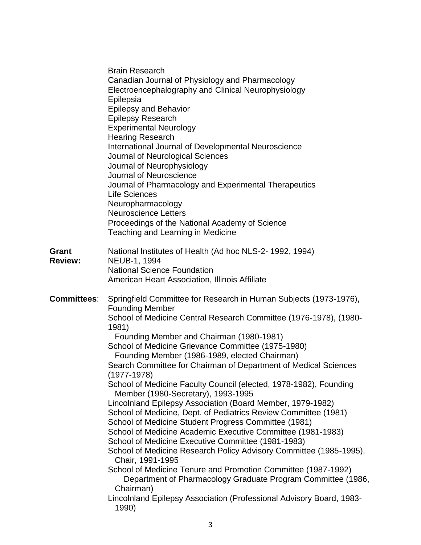|                                | <b>Brain Research</b><br>Canadian Journal of Physiology and Pharmacology<br>Electroencephalography and Clinical Neurophysiology                                                       |
|--------------------------------|---------------------------------------------------------------------------------------------------------------------------------------------------------------------------------------|
|                                | Epilepsia<br><b>Epilepsy and Behavior</b><br><b>Epilepsy Research</b>                                                                                                                 |
|                                | <b>Experimental Neurology</b><br><b>Hearing Research</b>                                                                                                                              |
|                                | International Journal of Developmental Neuroscience<br>Journal of Neurological Sciences<br>Journal of Neurophysiology<br>Journal of Neuroscience                                      |
|                                | Journal of Pharmacology and Experimental Therapeutics<br><b>Life Sciences</b><br>Neuropharmacology                                                                                    |
|                                | <b>Neuroscience Letters</b><br>Proceedings of the National Academy of Science<br>Teaching and Learning in Medicine                                                                    |
| <b>Grant</b><br><b>Review:</b> | National Institutes of Health (Ad hoc NLS-2-1992, 1994)<br>NEUB-1, 1994                                                                                                               |
|                                | <b>National Science Foundation</b><br>American Heart Association, Illinois Affiliate                                                                                                  |
| <b>Committees:</b>             | Springfield Committee for Research in Human Subjects (1973-1976),                                                                                                                     |
|                                |                                                                                                                                                                                       |
|                                | <b>Founding Member</b><br>School of Medicine Central Research Committee (1976-1978), (1980-<br>1981)                                                                                  |
|                                | Founding Member and Chairman (1980-1981)                                                                                                                                              |
|                                | School of Medicine Grievance Committee (1975-1980)                                                                                                                                    |
|                                | Founding Member (1986-1989, elected Chairman)<br>Search Committee for Chairman of Department of Medical Sciences<br>$(1977-1978)$                                                     |
|                                | School of Medicine Faculty Council (elected, 1978-1982), Founding<br>Member (1980-Secretary), 1993-1995                                                                               |
|                                | Lincolnland Epilepsy Association (Board Member, 1979-1982)<br>School of Medicine, Dept. of Pediatrics Review Committee (1981)<br>School of Medicine Student Progress Committee (1981) |
|                                | School of Medicine Academic Executive Committee (1981-1983)                                                                                                                           |
|                                | School of Medicine Executive Committee (1981-1983)<br>School of Medicine Research Policy Advisory Committee (1985-1995),<br>Chair, 1991-1995                                          |
|                                | School of Medicine Tenure and Promotion Committee (1987-1992)<br>Department of Pharmacology Graduate Program Committee (1986,<br>Chairman)                                            |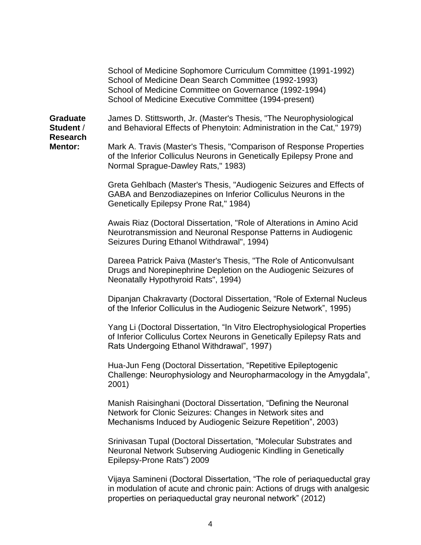School of Medicine Sophomore Curriculum Committee (1991-1992) School of Medicine Dean Search Committee (1992-1993) School of Medicine Committee on Governance (1992-1994) School of Medicine Executive Committee (1994-present)

**Research**

**Graduate** James D. Stittsworth, Jr. (Master's Thesis, "The Neurophysiological **Student** / and Behavioral Effects of Phenytoin: Administration in the Cat," 1979)

**Mentor:** Mark A. Travis (Master's Thesis, "Comparison of Response Properties of the Inferior Colliculus Neurons in Genetically Epilepsy Prone and Normal Sprague-Dawley Rats," 1983)

> Greta Gehlbach (Master's Thesis, "Audiogenic Seizures and Effects of GABA and Benzodiazepines on Inferior Colliculus Neurons in the Genetically Epilepsy Prone Rat," 1984)

Awais Riaz (Doctoral Dissertation, "Role of Alterations in Amino Acid Neurotransmission and Neuronal Response Patterns in Audiogenic Seizures During Ethanol Withdrawal", 1994)

Dareea Patrick Paiva (Master's Thesis, "The Role of Anticonvulsant Drugs and Norepinephrine Depletion on the Audiogenic Seizures of Neonatally Hypothyroid Rats", 1994)

Dipanjan Chakravarty (Doctoral Dissertation, "Role of External Nucleus of the Inferior Colliculus in the Audiogenic Seizure Network", 1995)

Yang Li (Doctoral Dissertation, "In Vitro Electrophysiological Properties of Inferior Colliculus Cortex Neurons in Genetically Epilepsy Rats and Rats Undergoing Ethanol Withdrawal", 1997)

Hua-Jun Feng (Doctoral Dissertation, "Repetitive Epileptogenic Challenge: Neurophysiology and Neuropharmacology in the Amygdala", 2001)

Manish Raisinghani (Doctoral Dissertation, "Defining the Neuronal Network for Clonic Seizures: Changes in Network sites and Mechanisms Induced by Audiogenic Seizure Repetition", 2003)

Srinivasan Tupal (Doctoral Dissertation, "Molecular Substrates and Neuronal Network Subserving Audiogenic Kindling in Genetically Epilepsy-Prone Rats") 2009

Vijaya Samineni (Doctoral Dissertation, "The role of periaqueductal gray in modulation of acute and chronic pain: Actions of drugs with analgesic properties on periaqueductal gray neuronal network" (2012)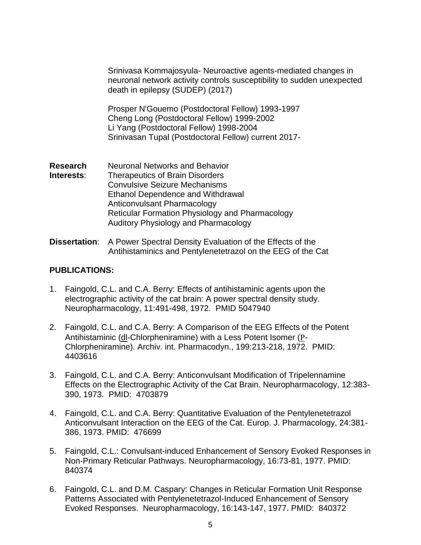Srinivasa Kommajosyula- Neuroactive agents-mediated changes in neuronal network activity controls susceptibility to sudden unexpected death in epilepsy (SUDEP) (2017)

Prosper N'Gouemo (Postdoctoral Fellow) 1993-1997 Cheng Long (Postdoctoral Fellow) 1999-2002 Li Yang (Postdoctoral Fellow) 1998-2004 Srinivasan Tupal (Postdoctoral Fellow) current 2017-

- **Research** Neuronal Networks and Behavior **Interests**: Therapeutics of Brain Disorders Convulsive Seizure Mechanisms Ethanol Dependence and Withdrawal Anticonvulsant Pharmacology Reticular Formation Physiology and Pharmacology Auditory Physiology and Pharmacology
- **Dissertation**: A Power Spectral Density Evaluation of the Effects of the Antihistaminics and Pentylenetetrazol on the EEG of the Cat

#### **PUBLICATIONS:**

- 1. Faingold, C.L. and C.A. Berry: Effects of antihistaminic agents upon the electrographic activity of the cat brain: A power spectral density study. Neuropharmacology, 11:491-498, 1972. PMID 5047940
- 2. Faingold, C.L. and C.A. Berry: A Comparison of the EEG Effects of the Potent Antihistaminic (dl-Chlorpheniramine) with a Less Potent Isomer (P-Chlorpheniramine). Archiv. int. Pharmacodyn., 199:213-218, 1972. PMID: 4403616
- 3. Faingold, C.L. and C.A. Berry: Anticonvulsant Modification of Tripelennamine Effects on the Electrographic Activity of the Cat Brain. Neuropharmacology, 12:383- 390, 1973. PMID: 4703879
- 4. Faingold, C.L. and C.A. Berry: Quantitative Evaluation of the Pentylenetetrazol Anticonvulsant Interaction on the EEG of the Cat. Europ. J. Pharmacology, 24:381- 386, 1973. PMID: 476699
- 5. Faingold, C.L.: Convulsant-induced Enhancement of Sensory Evoked Responses in Non-Primary Reticular Pathways. Neuropharmacology, 16:73-81, 1977. PMID: 840374
- 6. Faingold, C.L. and D.M. Caspary: Changes in Reticular Formation Unit Response Patterns Associated with Pentylenetetrazol-Induced Enhancement of Sensory Evoked Responses. Neuropharmacology, 16:143-147, 1977. PMID: 840372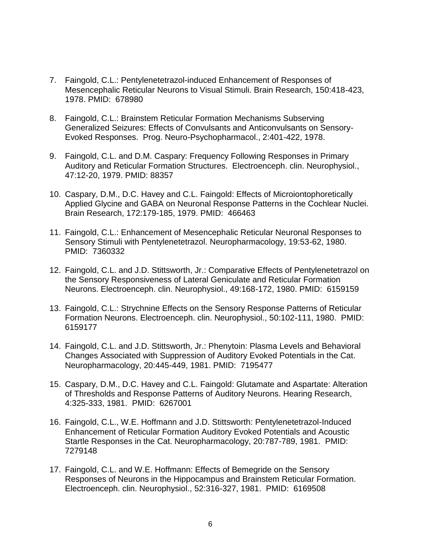- 7. Faingold, C.L.: Pentylenetetrazol-induced Enhancement of Responses of Mesencephalic Reticular Neurons to Visual Stimuli. Brain Research, 150:418-423, 1978. PMID: 678980
- 8. Faingold, C.L.: Brainstem Reticular Formation Mechanisms Subserving Generalized Seizures: Effects of Convulsants and Anticonvulsants on Sensory-Evoked Responses. Prog. Neuro-Psychopharmacol., 2:401-422, 1978.
- 9. Faingold, C.L. and D.M. Caspary: Frequency Following Responses in Primary Auditory and Reticular Formation Structures. Electroenceph. clin. Neurophysiol., 47:12-20, 1979. PMID: 88357
- 10. Caspary, D.M., D.C. Havey and C.L. Faingold: Effects of Microiontophoretically Applied Glycine and GABA on Neuronal Response Patterns in the Cochlear Nuclei. Brain Research, 172:179-185, 1979. PMID: 466463
- 11. Faingold, C.L.: Enhancement of Mesencephalic Reticular Neuronal Responses to Sensory Stimuli with Pentylenetetrazol. Neuropharmacology, 19:53-62, 1980. PMID: 7360332
- 12. Faingold, C.L. and J.D. Stittsworth, Jr.: Comparative Effects of Pentylenetetrazol on the Sensory Responsiveness of Lateral Geniculate and Reticular Formation Neurons. Electroenceph. clin. Neurophysiol., 49:168-172, 1980. PMID: 6159159
- 13. Faingold, C.L.: Strychnine Effects on the Sensory Response Patterns of Reticular Formation Neurons. Electroenceph. clin. Neurophysiol., 50:102-111, 1980. PMID: 6159177
- 14. Faingold, C.L. and J.D. Stittsworth, Jr.: Phenytoin: Plasma Levels and Behavioral Changes Associated with Suppression of Auditory Evoked Potentials in the Cat. Neuropharmacology, 20:445-449, 1981. PMID: 7195477
- 15. Caspary, D.M., D.C. Havey and C.L. Faingold: Glutamate and Aspartate: Alteration of Thresholds and Response Patterns of Auditory Neurons. Hearing Research, 4:325-333, 1981. PMID: 6267001
- 16. Faingold, C.L., W.E. Hoffmann and J.D. Stittsworth: Pentylenetetrazol-Induced Enhancement of Reticular Formation Auditory Evoked Potentials and Acoustic Startle Responses in the Cat. Neuropharmacology, 20:787-789, 1981. PMID: 7279148
- 17. Faingold, C.L. and W.E. Hoffmann: Effects of Bemegride on the Sensory Responses of Neurons in the Hippocampus and Brainstem Reticular Formation. Electroenceph. clin. Neurophysiol., 52:316-327, 1981. PMID: 6169508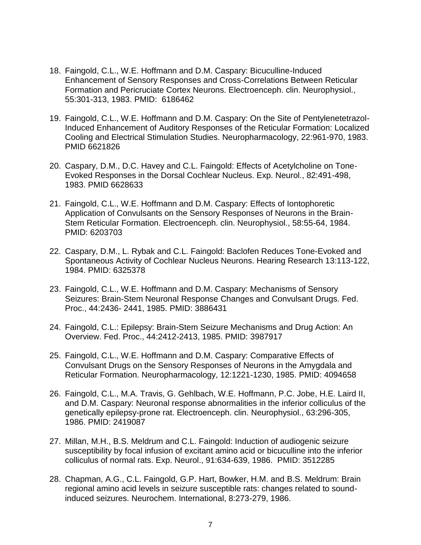- 18. Faingold, C.L., W.E. Hoffmann and D.M. Caspary: Bicuculline-Induced Enhancement of Sensory Responses and Cross-Correlations Between Reticular Formation and Pericruciate Cortex Neurons. Electroenceph. clin. Neurophysiol., 55:301-313, 1983. PMID: 6186462
- 19. Faingold, C.L., W.E. Hoffmann and D.M. Caspary: On the Site of Pentylenetetrazol-Induced Enhancement of Auditory Responses of the Reticular Formation: Localized Cooling and Electrical Stimulation Studies. Neuropharmacology, 22:961-970, 1983. PMID 6621826
- 20. Caspary, D.M., D.C. Havey and C.L. Faingold: Effects of Acetylcholine on Tone-Evoked Responses in the Dorsal Cochlear Nucleus. Exp. Neurol., 82:491-498, 1983. PMID 6628633
- 21. Faingold, C.L., W.E. Hoffmann and D.M. Caspary: Effects of Iontophoretic Application of Convulsants on the Sensory Responses of Neurons in the Brain-Stem Reticular Formation. Electroenceph. clin. Neurophysiol., 58:55-64, 1984. PMID: 6203703
- 22. Caspary, D.M., L. Rybak and C.L. Faingold: Baclofen Reduces Tone-Evoked and Spontaneous Activity of Cochlear Nucleus Neurons. Hearing Research 13:113-122, 1984. PMID: 6325378
- 23. Faingold, C.L., W.E. Hoffmann and D.M. Caspary: Mechanisms of Sensory Seizures: Brain-Stem Neuronal Response Changes and Convulsant Drugs. Fed. Proc., 44:2436- 2441, 1985. PMID: 3886431
- 24. Faingold, C.L.: Epilepsy: Brain-Stem Seizure Mechanisms and Drug Action: An Overview. Fed. Proc., 44:2412-2413, 1985. PMID: 3987917
- 25. Faingold, C.L., W.E. Hoffmann and D.M. Caspary: Comparative Effects of Convulsant Drugs on the Sensory Responses of Neurons in the Amygdala and Reticular Formation. Neuropharmacology, 12:1221-1230, 1985. PMID: 4094658
- 26. Faingold, C.L., M.A. Travis, G. Gehlbach, W.E. Hoffmann, P.C. Jobe, H.E. Laird II, and D.M. Caspary: Neuronal response abnormalities in the inferior colliculus of the genetically epilepsy-prone rat. Electroenceph. clin. Neurophysiol., 63:296-305, 1986. PMID: 2419087
- 27. Millan, M.H., B.S. Meldrum and C.L. Faingold: Induction of audiogenic seizure susceptibility by focal infusion of excitant amino acid or bicuculline into the inferior colliculus of normal rats. Exp. Neurol., 91:634-639, 1986. PMID: 3512285
- 28. Chapman, A.G., C.L. Faingold, G.P. Hart, Bowker, H.M. and B.S. Meldrum: Brain regional amino acid levels in seizure susceptible rats: changes related to soundinduced seizures. Neurochem. International, 8:273-279, 1986.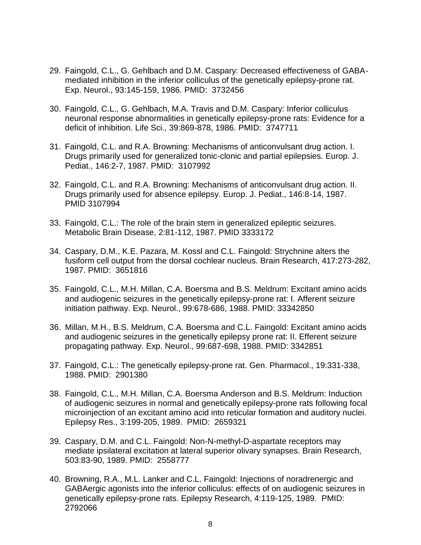- 29. Faingold, C.L., G. Gehlbach and D.M. Caspary: Decreased effectiveness of GABAmediated inhibition in the inferior colliculus of the genetically epilepsy-prone rat. Exp. Neurol., 93:145-159, 1986. PMID: 3732456
- 30. Faingold, C.L., G. Gehlbach, M.A. Travis and D.M. Caspary: Inferior colliculus neuronal response abnormalities in genetically epilepsy-prone rats: Evidence for a deficit of inhibition. Life Sci., 39:869-878, 1986. PMID: 3747711
- 31. Faingold, C.L. and R.A. Browning: Mechanisms of anticonvulsant drug action. I. Drugs primarily used for generalized tonic-clonic and partial epilepsies. Europ. J. Pediat., 146:2-7, 1987. PMID: 3107992
- 32. Faingold, C.L. and R.A. Browning: Mechanisms of anticonvulsant drug action. II. Drugs primarily used for absence epilepsy. Europ. J. Pediat., 146:8-14, 1987. PMID 3107994
- 33. Faingold, C.L.: The role of the brain stem in generalized epileptic seizures. Metabolic Brain Disease, 2:81-112, 1987. PMID 3333172
- 34. Caspary, D.M., K.E. Pazara, M. Kossl and C.L. Faingold: Strychnine alters the fusiform cell output from the dorsal cochlear nucleus. Brain Research, 417:273-282, 1987. PMID: 3651816
- 35. Faingold, C.L., M.H. Millan, C.A. Boersma and B.S. Meldrum: Excitant amino acids and audiogenic seizures in the genetically epilepsy-prone rat: I. Afferent seizure initiation pathway. Exp. Neurol., 99:678-686, 1988. PMID: 33342850
- 36. Millan, M.H., B.S. Meldrum, C.A. Boersma and C.L. Faingold: Excitant amino acids and audiogenic seizures in the genetically epilepsy prone rat: II. Efferent seizure propagating pathway. Exp. Neurol., 99:687-698, 1988. PMID: 3342851
- 37. Faingold, C.L.: The genetically epilepsy-prone rat. Gen. Pharmacol., 19:331-338, 1988. PMID: 2901380
- 38. Faingold, C.L., M.H. Millan, C.A. Boersma Anderson and B.S. Meldrum: Induction of audiogenic seizures in normal and genetically epilepsy-prone rats following focal microinjection of an excitant amino acid into reticular formation and auditory nuclei. Epilepsy Res., 3:199-205, 1989. PMID: 2659321
- 39. Caspary, D.M. and C.L. Faingold: Non-N-methyl-D-aspartate receptors may mediate ipsilateral excitation at lateral superior olivary synapses. Brain Research, 503:83-90, 1989. PMID: 2558777
- 40. Browning, R.A., M.L. Lanker and C.L. Faingold: Injections of noradrenergic and GABAergic agonists into the inferior colliculus: effects of on audiogenic seizures in genetically epilepsy-prone rats. Epilepsy Research, 4:119-125, 1989. PMID: 2792066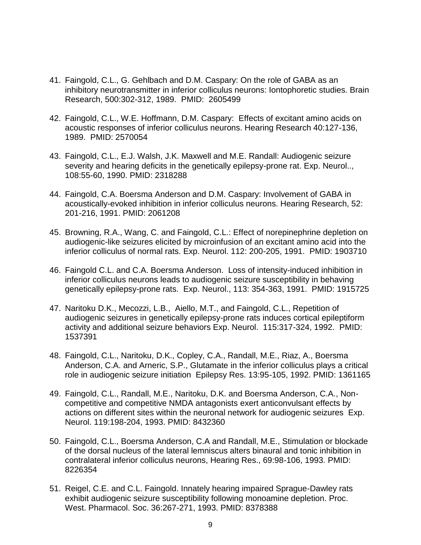- 41. Faingold, C.L., G. Gehlbach and D.M. Caspary: On the role of GABA as an inhibitory neurotransmitter in inferior colliculus neurons: Iontophoretic studies. Brain Research, 500:302-312, 1989. PMID: 2605499
- 42. Faingold, C.L., W.E. Hoffmann, D.M. Caspary: Effects of excitant amino acids on acoustic responses of inferior colliculus neurons. Hearing Research 40:127-136, 1989. PMID: 2570054
- 43. Faingold, C.L., E.J. Walsh, J.K. Maxwell and M.E. Randall: Audiogenic seizure severity and hearing deficits in the genetically epilepsy-prone rat. Exp. Neurol.., 108:55-60, 1990. PMID: 2318288
- 44. Faingold, C.A. Boersma Anderson and D.M. Caspary: Involvement of GABA in acoustically-evoked inhibition in inferior colliculus neurons. Hearing Research, 52: 201-216, 1991. PMID: 2061208
- 45. Browning, R.A., Wang, C. and Faingold, C.L.: Effect of norepinephrine depletion on audiogenic-like seizures elicited by microinfusion of an excitant amino acid into the inferior colliculus of normal rats. Exp. Neurol. 112: 200-205, 1991. PMID: 1903710
- 46. Faingold C.L. and C.A. Boersma Anderson. Loss of intensity-induced inhibition in inferior colliculus neurons leads to audiogenic seizure susceptibility in behaving genetically epilepsy-prone rats. Exp. Neurol., 113: 354-363, 1991. PMID: 1915725
- 47. Naritoku D.K., Mecozzi, L.B., Aiello, M.T., and Faingold, C.L., Repetition of audiogenic seizures in genetically epilepsy-prone rats induces cortical epileptiform activity and additional seizure behaviors Exp. Neurol. 115:317-324, 1992. PMID: 1537391
- 48. Faingold, C.L., Naritoku, D.K., Copley, C.A., Randall, M.E., Riaz, A., Boersma Anderson, C.A. and Arneric, S.P., Glutamate in the inferior colliculus plays a critical role in audiogenic seizure initiation Epilepsy Res. 13:95-105, 1992. PMID: 1361165
- 49. Faingold, C.L., Randall, M.E., Naritoku, D.K. and Boersma Anderson, C.A., Noncompetitive and competitive NMDA antagonists exert anticonvulsant effects by actions on different sites within the neuronal network for audiogenic seizures Exp. Neurol. 119:198-204, 1993. PMID: 8432360
- 50. Faingold, C.L., Boersma Anderson, C.A and Randall, M.E., Stimulation or blockade of the dorsal nucleus of the lateral lemniscus alters binaural and tonic inhibition in contralateral inferior colliculus neurons, Hearing Res., 69:98-106, 1993. PMID: 8226354
- 51. Reigel, C.E. and C.L. Faingold. Innately hearing impaired Sprague-Dawley rats exhibit audiogenic seizure susceptibility following monoamine depletion. Proc. West. Pharmacol. Soc. 36:267-271, 1993. PMID: 8378388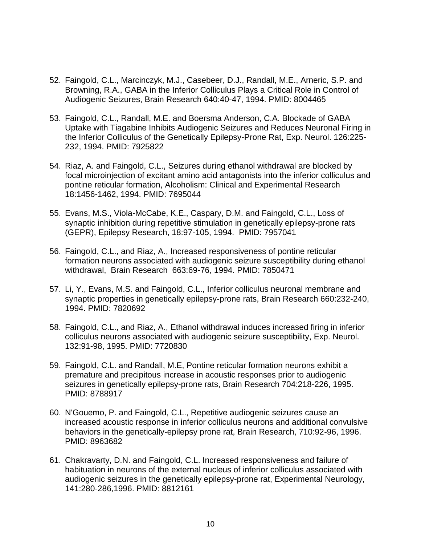- 52. Faingold, C.L., Marcinczyk, M.J., Casebeer, D.J., Randall, M.E., Arneric, S.P. and Browning, R.A., GABA in the Inferior Colliculus Plays a Critical Role in Control of Audiogenic Seizures, Brain Research 640:40-47, 1994. PMID: 8004465
- 53. Faingold, C.L., Randall, M.E. and Boersma Anderson, C.A. Blockade of GABA Uptake with Tiagabine Inhibits Audiogenic Seizures and Reduces Neuronal Firing in the Inferior Colliculus of the Genetically Epilepsy-Prone Rat, Exp. Neurol. 126:225- 232, 1994. PMID: 7925822
- 54. Riaz, A. and Faingold, C.L., Seizures during ethanol withdrawal are blocked by focal microinjection of excitant amino acid antagonists into the inferior colliculus and pontine reticular formation, Alcoholism: Clinical and Experimental Research 18:1456-1462, 1994. PMID: 7695044
- 55. Evans, M.S., Viola-McCabe, K.E., Caspary, D.M. and Faingold, C.L., Loss of synaptic inhibition during repetitive stimulation in genetically epilepsy-prone rats (GEPR), Epilepsy Research, 18:97-105, 1994. PMID: 7957041
- 56. Faingold, C.L., and Riaz, A., Increased responsiveness of pontine reticular formation neurons associated with audiogenic seizure susceptibility during ethanol withdrawal, Brain Research 663:69-76, 1994. PMID: 7850471
- 57. Li, Y., Evans, M.S. and Faingold, C.L., Inferior colliculus neuronal membrane and synaptic properties in genetically epilepsy-prone rats, Brain Research 660:232-240, 1994. PMID: 7820692
- 58. Faingold, C.L., and Riaz, A., Ethanol withdrawal induces increased firing in inferior colliculus neurons associated with audiogenic seizure susceptibility, Exp. Neurol. 132:91-98, 1995. PMID: 7720830
- 59. Faingold, C.L. and Randall, M.E, Pontine reticular formation neurons exhibit a premature and precipitous increase in acoustic responses prior to audiogenic seizures in genetically epilepsy-prone rats, Brain Research 704:218-226, 1995. PMID: 8788917
- 60. N'Gouemo, P. and Faingold, C.L., Repetitive audiogenic seizures cause an increased acoustic response in inferior colliculus neurons and additional convulsive behaviors in the genetically-epilepsy prone rat, Brain Research, 710:92-96, 1996. PMID: 8963682
- 61. Chakravarty, D.N. and Faingold, C.L. Increased responsiveness and failure of habituation in neurons of the external nucleus of inferior colliculus associated with audiogenic seizures in the genetically epilepsy-prone rat, Experimental Neurology, 141:280-286,1996. PMID: 8812161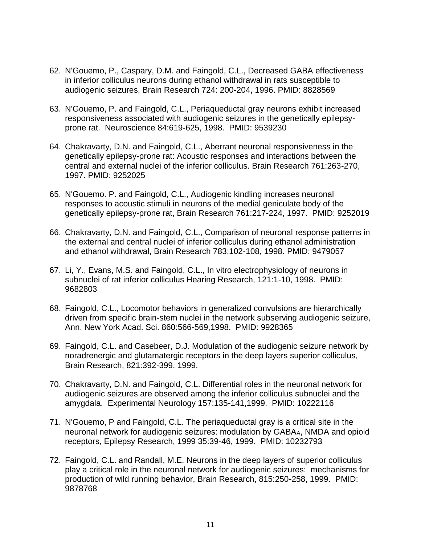- 62. N'Gouemo, P., Caspary, D.M. and Faingold, C.L., Decreased GABA effectiveness in inferior colliculus neurons during ethanol withdrawal in rats susceptible to audiogenic seizures, Brain Research 724: 200-204, 1996. PMID: 8828569
- 63. N'Gouemo, P. and Faingold, C.L., Periaqueductal gray neurons exhibit increased responsiveness associated with audiogenic seizures in the genetically epilepsyprone rat. Neuroscience 84:619-625, 1998. PMID: 9539230
- 64. Chakravarty, D.N. and Faingold, C.L., Aberrant neuronal responsiveness in the genetically epilepsy-prone rat: Acoustic responses and interactions between the central and external nuclei of the inferior colliculus. Brain Research 761:263-270, 1997. PMID: 9252025
- 65. N'Gouemo. P. and Faingold, C.L., Audiogenic kindling increases neuronal responses to acoustic stimuli in neurons of the medial geniculate body of the genetically epilepsy-prone rat, Brain Research 761:217-224, 1997. PMID: 9252019
- 66. Chakravarty, D.N. and Faingold, C.L., Comparison of neuronal response patterns in the external and central nuclei of inferior colliculus during ethanol administration and ethanol withdrawal, Brain Research 783:102-108, 1998. PMID: 9479057
- 67. Li, Y., Evans, M.S. and Faingold, C.L., In vitro electrophysiology of neurons in subnuclei of rat inferior colliculus Hearing Research, 121:1-10, 1998. PMID: 9682803
- 68. Faingold, C.L., Locomotor behaviors in generalized convulsions are hierarchically driven from specific brain-stem nuclei in the network subserving audiogenic seizure, Ann. New York Acad. Sci. 860:566-569,1998. PMID: 9928365
- 69. Faingold, C.L. and Casebeer, D.J. Modulation of the audiogenic seizure network by noradrenergic and glutamatergic receptors in the deep layers superior colliculus, Brain Research, 821:392-399, 1999.
- 70. Chakravarty, D.N. and Faingold, C.L. [Differential roles in the neuronal network for](http://www.ncbi.nlm.nih.gov/pubmed/10222116?ordinalpos=32&itool=EntrezSystem2.PEntrez.Pubmed.Pubmed_ResultsPanel.Pubmed_DefaultReportPanel.Pubmed_RVDocSum)  [audiogenic seizures are observed among the inferior colliculus subnuclei and the](http://www.ncbi.nlm.nih.gov/pubmed/10222116?ordinalpos=32&itool=EntrezSystem2.PEntrez.Pubmed.Pubmed_ResultsPanel.Pubmed_DefaultReportPanel.Pubmed_RVDocSum)  [amygdala.](http://www.ncbi.nlm.nih.gov/pubmed/10222116?ordinalpos=32&itool=EntrezSystem2.PEntrez.Pubmed.Pubmed_ResultsPanel.Pubmed_DefaultReportPanel.Pubmed_RVDocSum) Experimental Neurology 157:135-141,1999. PMID: 10222116
- 71. N'Gouemo, P and Faingold, C.L. The periaqueductal gray is a critical site in the neuronal network for audiogenic seizures: modulation by GABAA, NMDA and opioid receptors, Epilepsy Research, 1999 35:39-46, 1999. PMID: 10232793
- 72. Faingold, C.L. and Randall, M.E. Neurons in the deep layers of superior colliculus play a critical role in the neuronal network for audiogenic seizures: mechanisms for production of wild running behavior, Brain Research, 815:250-258, 1999. PMID: 9878768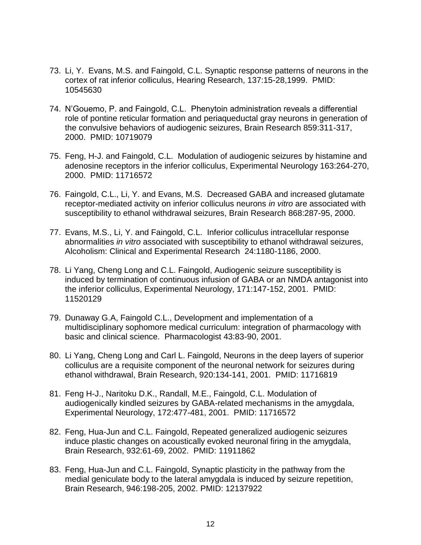- 73. Li, Y. Evans, M.S. and Faingold, C.L. Synaptic response patterns of neurons in the cortex of rat inferior colliculus, Hearing Research, 137:15-28,1999. PMID: 10545630
- 74. N'Gouemo, P. and Faingold, C.L. Phenytoin administration reveals a differential role of pontine reticular formation and periaqueductal gray neurons in generation of the convulsive behaviors of audiogenic seizures, Brain Research 859:311-317, 2000. PMID: 10719079
- 75. Feng, H-J. and Faingold, C.L. Modulation of audiogenic seizures by histamine and adenosine receptors in the inferior colliculus, Experimental Neurology 163:264-270, 2000. PMID: 11716572
- 76. Faingold, C.L., Li, Y. and Evans, M.S. Decreased GABA and increased glutamate receptor-mediated activity on inferior colliculus neurons *in vitro* are associated with susceptibility to ethanol withdrawal seizures, Brain Research 868:287-95, 2000.
- 77. Evans, M.S., Li, Y. and Faingold, C.L. Inferior colliculus intracellular response abnormalities *in vitro* associated with susceptibility to ethanol withdrawal seizures, Alcoholism: Clinical and Experimental Research 24:1180-1186, 2000.
- 78. Li Yang, Cheng Long and C.L. Faingold, Audiogenic seizure susceptibility is induced by termination of continuous infusion of GABA or an NMDA antagonist into the inferior colliculus, Experimental Neurology, 171:147-152, 2001. PMID: 11520129
- 79. Dunaway G.A, Faingold C.L., Development and implementation of a multidisciplinary sophomore medical curriculum: integration of pharmacology with basic and clinical science. Pharmacologist 43:83-90, 2001.
- 80. Li Yang, Cheng Long and Carl L. Faingold, Neurons in the deep layers of superior colliculus are a requisite component of the neuronal network for seizures during ethanol withdrawal, Brain Research, 920:134-141, 2001. PMID: 11716819
- 81. Feng H-J., Naritoku D.K., Randall, M.E., Faingold, C.L. Modulation of audiogenically kindled seizures by GABA-related mechanisms in the amygdala, Experimental Neurology, 172:477-481, 2001. PMID: 11716572
- 82. Feng, Hua-Jun and C.L. Faingold, Repeated generalized audiogenic seizures induce plastic changes on acoustically evoked neuronal firing in the amygdala, Brain Research, 932:61-69, 2002. PMID: 11911862
- 83. Feng, Hua-Jun and C.L. Faingold, Synaptic plasticity in the pathway from the medial geniculate body to the lateral amygdala is induced by seizure repetition, Brain Research, 946:198-205, 2002. PMID: 12137922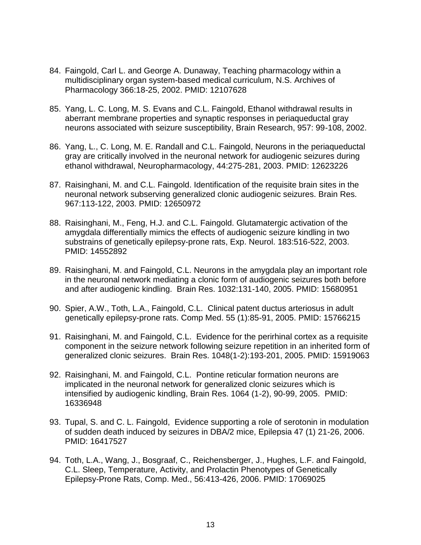- 84. Faingold, Carl L. and George A. Dunaway, Teaching pharmacology within a multidisciplinary organ system-based medical curriculum, N.S. Archives of Pharmacology 366:18-25, 2002. PMID: 12107628
- 85. Yang, L. C. Long, M. S. Evans and C.L. Faingold, Ethanol withdrawal results in aberrant membrane properties and synaptic responses in periaqueductal gray neurons associated with seizure susceptibility, Brain Research, 957: 99-108, 2002.
- 86. Yang, L., C. Long, M. E. Randall and C.L. Faingold, Neurons in the periaqueductal gray are critically involved in the neuronal network for audiogenic seizures during ethanol withdrawal, Neuropharmacology, 44:275-281, 2003. PMID: 12623226
- 87. Raisinghani, M. and C.L. Faingold. Identification of the requisite brain sites in the neuronal network subserving generalized clonic audiogenic seizures. Brain Res. 967:113-122, 2003. PMID: 12650972
- 88. Raisinghani, M., Feng, H.J. and C.L. Faingold. Glutamatergic activation of the amygdala differentially mimics the effects of audiogenic seizure kindling in two substrains of genetically epilepsy-prone rats, Exp. Neurol. 183:516-522, 2003. PMID: 14552892
- 89. Raisinghani, M. and Faingold, C.L. Neurons in the amygdala play an important role in the neuronal network mediating a clonic form of audiogenic seizures both before and after audiogenic kindling. Brain Res. 1032:131-140, 2005. PMID: 15680951
- 90. Spier, A.W., Toth, L.A., Faingold, C.L. Clinical patent ductus arteriosus in adult genetically epilepsy-prone rats. Comp Med. 55 (1):85-91, 2005. PMID: 15766215
- 91. Raisinghani, M. and Faingold, C.L. Evidence for the perirhinal cortex as a requisite component in the seizure network following seizure repetition in an inherited form of generalized clonic seizures. Brain Res. 1048(1-2):193-201, 2005. PMID: 15919063
- 92. Raisinghani, M. and Faingold, C.L. Pontine reticular formation neurons are implicated in the neuronal network for generalized clonic seizures which is intensified by audiogenic kindling, Brain Res. 1064 (1-2), 90-99, 2005. PMID: 16336948
- 93. Tupal, S. and C. L. Faingold, Evidence supporting a role of serotonin in modulation of sudden death induced by seizures in DBA/2 mice, Epilepsia 47 (1) 21-26, 2006. PMID: 16417527
- 94. Toth, L.A., Wang, J., Bosgraaf, C., Reichensberger, J., Hughes, L.F. and Faingold, C.L. Sleep, Temperature, Activity, and Prolactin Phenotypes of Genetically Epilepsy-Prone Rats, Comp. Med., 56:413-426, 2006. PMID: 17069025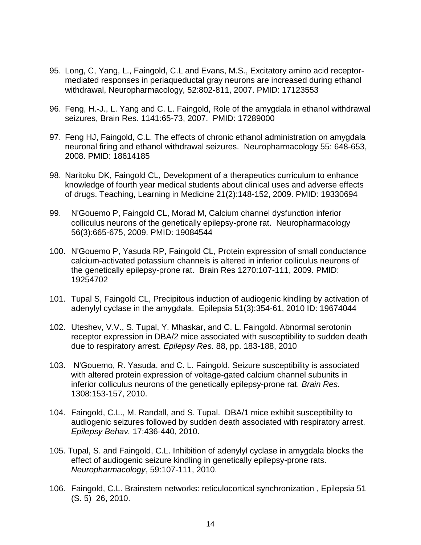- 95. Long, C, Yang, L., Faingold, C.L and Evans, M.S., Excitatory amino acid receptormediated responses in periaqueductal gray neurons are increased during ethanol withdrawal, Neuropharmacology, 52:802-811, 2007. PMID: 17123553
- 96. Feng, H.-J., L. Yang and C. L. Faingold, Role of the amygdala in ethanol withdrawal seizures, Brain Res. 1141:65-73, 2007. PMID: 17289000
- 97. Feng HJ, Faingold, C.L. The effects of chronic ethanol administration on amygdala neuronal firing and ethanol withdrawal seizures. Neuropharmacology 55: 648-653, 2008. PMID: 18614185
- 98. Naritoku DK, Faingold CL, Development of a therapeutics curriculum to enhance knowledge of fourth year medical students about clinical uses and adverse effects of drugs. Teaching, Learning in Medicine 21(2):148-152, 2009. PMID: 19330694
- 99. N'Gouemo P, Faingold CL, Morad M, Calcium channel dysfunction inferior colliculus neurons of the genetically epilepsy-prone rat. Neuropharmacology 56(3):665-675, 2009. PMID: 19084544
- 100. N'Gouemo P, Yasuda RP, Faingold CL, Protein expression of small conductance calcium-activated potassium channels is altered in inferior colliculus neurons of the genetically epilepsy-prone rat. Brain Res 1270:107-111, 2009. PMID: 19254702
- 101. Tupal S, Faingold CL, Precipitous induction of audiogenic kindling by activation of adenylyl cyclase in the amygdala. Epilepsia 51(3):354-61, 2010 ID: 19674044
- 102. Uteshev, V.V., S. Tupal, Y. Mhaskar, and C. L. Faingold. Abnormal serotonin receptor expression in DBA/2 mice associated with susceptibility to sudden death due to respiratory arrest. *Epilepsy Res.* 88, pp. 183-188, 2010
- 103. N'Gouemo, R. Yasuda, and C. L. Faingold. Seizure susceptibility is associated with altered protein expression of voltage-gated calcium channel subunits in inferior colliculus neurons of the genetically epilepsy-prone rat. *Brain Res.* 1308:153-157, 2010.
- 104. Faingold, C.L., M. Randall, and S. Tupal. DBA/1 mice exhibit susceptibility to audiogenic seizures followed by sudden death associated with respiratory arrest. *Epilepsy Behav.* 17:436-440, 2010.
- 105. Tupal, S. and Faingold, C.L. Inhibition of adenylyl cyclase in amygdala blocks the effect of audiogenic seizure kindling in genetically epilepsy-prone rats. *Neuropharmacology*, 59:107-111, 2010.
- 106. Faingold, C.L. Brainstem networks: reticulocortical synchronization , Epilepsia 51 (S. 5) 26, 2010.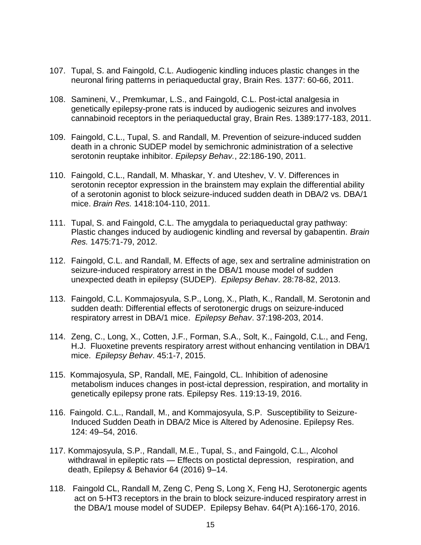- 107. Tupal, S. and Faingold, C.L. Audiogenic kindling induces plastic changes in the neuronal firing patterns in periaqueductal gray, Brain Res. 1377: 60-66, 2011.
- 108. Samineni, V., Premkumar, L.S., and Faingold, C.L. Post-ictal analgesia in genetically epilepsy-prone rats is induced by audiogenic seizures and involves cannabinoid receptors in the periaqueductal gray, Brain Res. 1389:177-183, 2011.
- 109. Faingold, C.L., Tupal, S. and Randall, M. Prevention of seizure-induced sudden death in a chronic SUDEP model by semichronic administration of a selective serotonin reuptake inhibitor. *Epilepsy Behav.*, 22:186-190, 2011.
- 110. Faingold, C.L., Randall, M. Mhaskar, Y. and Uteshev, V. V. Differences in serotonin receptor expression in the brainstem may explain the differential ability of a serotonin agonist to block seizure-induced sudden death in DBA/2 vs. DBA/1 mice. *Brain Res.* 1418:104-110, 2011.
- 111. Tupal, S. and Faingold, C.L. The amygdala to periaqueductal gray pathway: Plastic changes induced by audiogenic kindling and reversal by gabapentin. *Brain Res.* 1475:71-79, 2012.
- 112. Faingold, C.L. and Randall, M. Effects of age, sex and sertraline administration on seizure-induced respiratory arrest in the DBA/1 mouse model of sudden unexpected death in epilepsy (SUDEP). *Epilepsy Behav*. 28:78-82, 2013.
- 113. Faingold, C.L. Kommajosyula, S.P., Long, X., Plath, K., Randall, M. Serotonin and sudden death: Differential effects of serotonergic drugs on seizure-induced respiratory arrest in DBA/1 mice. *Epilepsy Behav*. 37:198-203, 2014.
- 114. Zeng, C., Long, X., Cotten, J.F., Forman, S.A., Solt, K., Faingold, C.L., and Feng, H.J. Fluoxetine prevents respiratory arrest without enhancing ventilation in DBA/1 mice. *Epilepsy Behav*. 45:1-7, 2015.
- 115. Kommajosyula, SP, Randall, ME, Faingold, CL. Inhibition of adenosine metabolism induces changes in post-ictal depression, respiration, and mortality in genetically epilepsy prone rats. Epilepsy Res. 119:13-19, 2016.
- 116. Faingold. C.L., Randall, M., and Kommajosyula, S.P. Susceptibility to Seizure-Induced Sudden Death in DBA/2 Mice is Altered by Adenosine. Epilepsy Res. 124: 49–54, 2016.
- 117. Kommajosyula, S.P., Randall, M.E., Tupal, S., and Faingold, C.L., Alcohol withdrawal in epileptic rats — Effects on postictal depression, respiration, and death, Epilepsy & Behavior 64 (2016) 9–14.
- 118. Faingold CL, Randall M, Zeng C, Peng S, Long X, Feng HJ, Serotonergic agents act on 5-HT3 receptors in the brain to block seizure-induced respiratory arrest in the DBA/1 mouse model of SUDEP. Epilepsy Behav. 64(Pt A):166-170, 2016.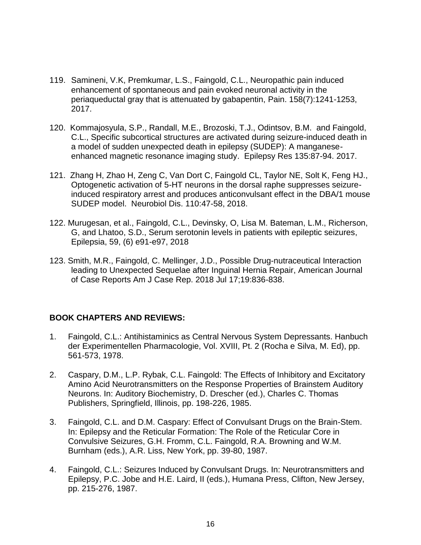- 119. Samineni, V.K, Premkumar, L.S., Faingold, C.L., Neuropathic pain induced enhancement of spontaneous and pain evoked neuronal activity in the periaqueductal gray that is attenuated by gabapentin, Pain. 158(7):1241-1253, 2017.
- 120. Kommajosyula, S.P., Randall, M.E., Brozoski, T.J., Odintsov, B.M. and Faingold, C.L., Specific subcortical structures are activated during seizure-induced death in a model of sudden unexpected death in epilepsy (SUDEP): A manganeseenhanced magnetic resonance imaging study. Epilepsy Res 135:87-94. 2017.
- 121. Zhang H, Zhao H, Zeng C, Van Dort C, Faingold CL, Taylor NE, Solt K, Feng HJ., Optogenetic activation of 5-HT neurons in the dorsal raphe suppresses seizureinduced respiratory arrest and produces anticonvulsant effect in the DBA/1 mouse SUDEP model. Neurobiol Dis. 110:47-58, 2018.
- 122. Murugesan, et al., Faingold, C.L., Devinsky, O, Lisa M. Bateman, L.M., Richerson, G, and Lhatoo, S.D., Serum serotonin levels in patients with epileptic seizures, Epilepsia, 59, (6) e91-e97, 2018
- 123. Smith, M.R., Faingold, C. Mellinger, J.D., Possible Drug-nutraceutical Interaction leading to Unexpected Sequelae after Inguinal Hernia Repair, American Journal of Case Reports Am J Case Rep. 2018 Jul 17;19:836-838.

# **BOOK CHAPTERS AND REVIEWS:**

- 1. Faingold, C.L.: Antihistaminics as Central Nervous System Depressants. Hanbuch der Experimentellen Pharmacologie, Vol. XVIII, Pt. 2 (Rocha e Silva, M. Ed), pp. 561-573, 1978.
- 2. Caspary, D.M., L.P. Rybak, C.L. Faingold: The Effects of Inhibitory and Excitatory Amino Acid Neurotransmitters on the Response Properties of Brainstem Auditory Neurons. In: Auditory Biochemistry, D. Drescher (ed.), Charles C. Thomas Publishers, Springfield, Illinois, pp. 198-226, 1985.
- 3. Faingold, C.L. and D.M. Caspary: Effect of Convulsant Drugs on the Brain-Stem. In: Epilepsy and the Reticular Formation: The Role of the Reticular Core in Convulsive Seizures, G.H. Fromm, C.L. Faingold, R.A. Browning and W.M. Burnham (eds.), A.R. Liss, New York, pp. 39-80, 1987.
- 4. Faingold, C.L.: Seizures Induced by Convulsant Drugs. In: Neurotransmitters and Epilepsy, P.C. Jobe and H.E. Laird, II (eds.), Humana Press, Clifton, New Jersey, pp. 215-276, 1987.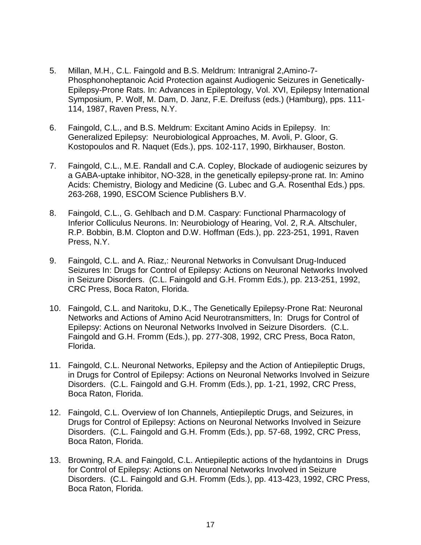- 5. Millan, M.H., C.L. Faingold and B.S. Meldrum: Intranigral 2,Amino-7- Phosphonoheptanoic Acid Protection against Audiogenic Seizures in Genetically-Epilepsy-Prone Rats. In: Advances in Epileptology, Vol. XVI, Epilepsy International Symposium, P. Wolf, M. Dam, D. Janz, F.E. Dreifuss (eds.) (Hamburg), pps. 111- 114, 1987, Raven Press, N.Y.
- 6. Faingold, C.L., and B.S. Meldrum: Excitant Amino Acids in Epilepsy. In: Generalized Epilepsy: Neurobiological Approaches, M. Avoli, P. Gloor, G. Kostopoulos and R. Naquet (Eds.), pps. 102-117, 1990, Birkhauser, Boston.
- 7. Faingold, C.L., M.E. Randall and C.A. Copley, Blockade of audiogenic seizures by a GABA-uptake inhibitor, NO-328, in the genetically epilepsy-prone rat. In: Amino Acids: Chemistry, Biology and Medicine (G. Lubec and G.A. Rosenthal Eds.) pps. 263-268, 1990, ESCOM Science Publishers B.V.
- 8. Faingold, C.L., G. Gehlbach and D.M. Caspary: Functional Pharmacology of Inferior Colliculus Neurons. In: Neurobiology of Hearing, Vol. 2, R.A. Altschuler, R.P. Bobbin, B.M. Clopton and D.W. Hoffman (Eds.), pp. 223-251, 1991, Raven Press, N.Y.
- 9. Faingold, C.L. and A. Riaz,: Neuronal Networks in Convulsant Drug-Induced Seizures In: Drugs for Control of Epilepsy: Actions on Neuronal Networks Involved in Seizure Disorders. (C.L. Faingold and G.H. Fromm Eds.), pp. 213-251, 1992, CRC Press, Boca Raton, Florida.
- 10. Faingold, C.L. and Naritoku, D.K., The Genetically Epilepsy-Prone Rat: Neuronal Networks and Actions of Amino Acid Neurotransmitters, In: Drugs for Control of Epilepsy: Actions on Neuronal Networks Involved in Seizure Disorders. (C.L. Faingold and G.H. Fromm (Eds.), pp. 277-308, 1992, CRC Press, Boca Raton, Florida.
- 11. Faingold, C.L. Neuronal Networks, Epilepsy and the Action of Antiepileptic Drugs, in Drugs for Control of Epilepsy: Actions on Neuronal Networks Involved in Seizure Disorders. (C.L. Faingold and G.H. Fromm (Eds.), pp. 1-21, 1992, CRC Press, Boca Raton, Florida.
- 12. Faingold, C.L. Overview of Ion Channels, Antiepileptic Drugs, and Seizures, in Drugs for Control of Epilepsy: Actions on Neuronal Networks Involved in Seizure Disorders. (C.L. Faingold and G.H. Fromm (Eds.), pp. 57-68, 1992, CRC Press, Boca Raton, Florida.
- 13. Browning, R.A. and Faingold, C.L. Antiepileptic actions of the hydantoins in Drugs for Control of Epilepsy: Actions on Neuronal Networks Involved in Seizure Disorders. (C.L. Faingold and G.H. Fromm (Eds.), pp. 413-423, 1992, CRC Press, Boca Raton, Florida.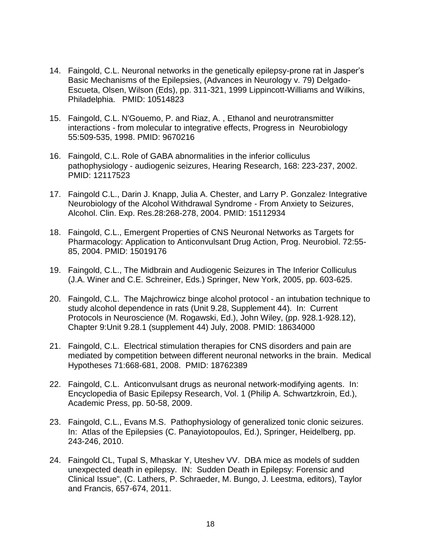- 14. Faingold, C.L. Neuronal networks in the genetically epilepsy-prone rat in Jasper's Basic Mechanisms of the Epilepsies, (Advances in Neurology v. 79) Delgado-Escueta, Olsen, Wilson (Eds), pp. 311-321, 1999 Lippincott-Williams and Wilkins, Philadelphia. PMID: 10514823
- 15. Faingold, C.L. N'Gouemo, P. and Riaz, A. , Ethanol and neurotransmitter interactions - from molecular to integrative effects, Progress in Neurobiology 55:509-535, 1998. PMID: 9670216
- 16. Faingold, C.L. Role of GABA abnormalities in the inferior colliculus pathophysiology - audiogenic seizures, Hearing Research, 168: 223-237, 2002. PMID: 12117523
- 17. Faingold C.L., Darin J. Knapp, Julia A. Chester, and Larry P. Gonzalez<sup>,</sup> Integrative Neurobiology of the Alcohol Withdrawal Syndrome - From Anxiety to Seizures, Alcohol. Clin. Exp. Res.28:268-278, 2004. PMID: 15112934
- 18. Faingold, C.L., Emergent Properties of CNS Neuronal Networks as Targets for Pharmacology: Application to Anticonvulsant Drug Action, Prog. Neurobiol. 72:55- 85, 2004. PMID: 15019176
- 19. Faingold, C.L., The Midbrain and Audiogenic Seizures in The Inferior Colliculus (J.A. Winer and C.E. Schreiner, Eds.) Springer, New York, 2005, pp. 603-625.
- 20. Faingold, C.L. The Majchrowicz binge alcohol protocol an intubation technique to study alcohol dependence in rats (Unit 9.28, Supplement 44). In: Current Protocols in Neuroscience (M. Rogawski, Ed.), John Wiley, (pp. 928.1-928.12), Chapter 9:Unit 9.28.1 (supplement 44) July, 2008. PMID: 18634000
- 21. Faingold, C.L. Electrical stimulation therapies for CNS disorders and pain are mediated by competition between different neuronal networks in the brain. Medical Hypotheses 71:668-681, 2008. PMID: 18762389
- 22. Faingold, C.L. Anticonvulsant drugs as neuronal network-modifying agents. In: Encyclopedia of Basic Epilepsy Research, Vol. 1 (Philip A. Schwartzkroin, Ed.), Academic Press, pp. 50-58, 2009.
- 23. Faingold, C.L., Evans M.S. Pathophysiology of generalized tonic clonic seizures. In: Atlas of the Epilepsies (C. Panayiotopoulos, Ed.), Springer, Heidelberg, pp. 243-246, 2010.
- 24. Faingold CL, Tupal S, Mhaskar Y, Uteshev VV. DBA mice as models of sudden unexpected death in epilepsy. IN: Sudden Death in Epilepsy: Forensic and Clinical Issue", (C. Lathers, P. Schraeder, M. Bungo, J. Leestma, editors), Taylor and Francis, 657-674, 2011.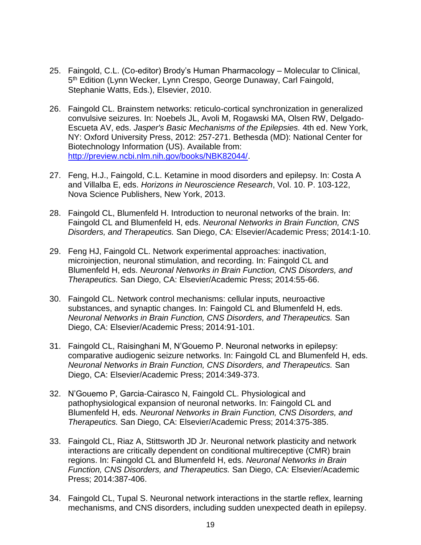- 25. Faingold, C.L. (Co-editor) Brody's Human Pharmacology Molecular to Clinical, 5<sup>th</sup> Edition (Lynn Wecker, Lynn Crespo, George Dunaway, Carl Faingold, Stephanie Watts, Eds.), Elsevier, 2010.
- 26. Faingold CL. Brainstem networks: reticulo-cortical synchronization in generalized convulsive seizures. In: Noebels JL, Avoli M, Rogawski MA, Olsen RW, Delgado-Escueta AV, eds. *Jasper's Basic Mechanisms of the Epilepsies.* 4th ed. New York, NY: Oxford University Press, 2012: 257-271. Bethesda (MD): National Center for Biotechnology Information (US). Available from: [http://preview.ncbi.nlm.nih.gov/books/NBK82044/.](http://preview.ncbi.nlm.nih.gov/books/NBK82044/)
- 27. Feng, H.J., Faingold, C.L. Ketamine in mood disorders and epilepsy. In: Costa A and Villalba E, eds. *Horizons in Neuroscience Research*, Vol. 10. P. 103-122, Nova Science Publishers, New York, 2013.
- 28. Faingold CL, Blumenfeld H. Introduction to neuronal networks of the brain. In: Faingold CL and Blumenfeld H, eds. *Neuronal Networks in Brain Function, CNS Disorders, and Therapeutics.* San Diego, CA: Elsevier/Academic Press; 2014:1-10.
- 29. Feng HJ, Faingold CL. Network experimental approaches: inactivation, microinjection, neuronal stimulation, and recording. In: Faingold CL and Blumenfeld H, eds. *Neuronal Networks in Brain Function, CNS Disorders, and Therapeutics.* San Diego, CA: Elsevier/Academic Press; 2014:55-66.
- 30. Faingold CL. Network control mechanisms: cellular inputs, neuroactive substances, and synaptic changes. In: Faingold CL and Blumenfeld H, eds. *Neuronal Networks in Brain Function, CNS Disorders, and Therapeutics.* San Diego, CA: Elsevier/Academic Press; 2014:91-101.
- 31. Faingold CL, Raisinghani M, N'Gouemo P. Neuronal networks in epilepsy: comparative audiogenic seizure networks. In: Faingold CL and Blumenfeld H, eds. *Neuronal Networks in Brain Function, CNS Disorders, and Therapeutics.* San Diego, CA: Elsevier/Academic Press; 2014:349-373.
- 32. N'Gouemo P, Garcia-Cairasco N, Faingold CL. Physiological and pathophysiological expansion of neuronal networks. In: Faingold CL and Blumenfeld H, eds. *Neuronal Networks in Brain Function, CNS Disorders, and Therapeutics.* San Diego, CA: Elsevier/Academic Press; 2014:375-385.
- 33. Faingold CL, Riaz A, Stittsworth JD Jr. Neuronal network plasticity and network interactions are critically dependent on conditional multireceptive (CMR) brain regions. In: Faingold CL and Blumenfeld H, eds. *Neuronal Networks in Brain Function, CNS Disorders, and Therapeutics.* San Diego, CA: Elsevier/Academic Press; 2014:387-406.
- 34. Faingold CL, Tupal S. Neuronal network interactions in the startle reflex, learning mechanisms, and CNS disorders, including sudden unexpected death in epilepsy.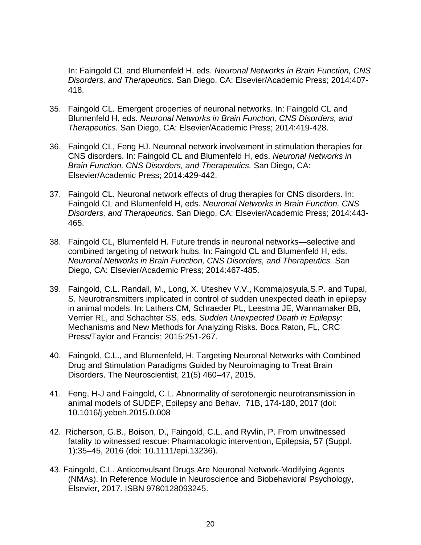In: Faingold CL and Blumenfeld H, eds. *Neuronal Networks in Brain Function, CNS Disorders, and Therapeutics.* San Diego, CA: Elsevier/Academic Press; 2014:407- 418.

- 35. Faingold CL. Emergent properties of neuronal networks. In: Faingold CL and Blumenfeld H, eds. *Neuronal Networks in Brain Function, CNS Disorders, and Therapeutics.* San Diego, CA: Elsevier/Academic Press; 2014:419-428.
- 36. Faingold CL, Feng HJ. Neuronal network involvement in stimulation therapies for CNS disorders. In: Faingold CL and Blumenfeld H, eds. *Neuronal Networks in Brain Function, CNS Disorders, and Therapeutics.* San Diego, CA: Elsevier/Academic Press; 2014:429-442.
- 37. Faingold CL. Neuronal network effects of drug therapies for CNS disorders. In: Faingold CL and Blumenfeld H, eds. *Neuronal Networks in Brain Function, CNS Disorders, and Therapeutics.* San Diego, CA: Elsevier/Academic Press; 2014:443- 465.
- 38. Faingold CL, Blumenfeld H. Future trends in neuronal networks—selective and combined targeting of network hubs. In: Faingold CL and Blumenfeld H, eds. *Neuronal Networks in Brain Function, CNS Disorders, and Therapeutics.* San Diego, CA: Elsevier/Academic Press; 2014:467-485.
- 39. Faingold, C.L. Randall, M., Long, X. Uteshev V.V., Kommajosyula,S.P. and Tupal, S. Neurotransmitters implicated in control of sudden unexpected death in epilepsy in animal models. In: Lathers CM, Schraeder PL, Leestma JE, Wannamaker BB, Verrier RL, and Schachter SS, eds. *Sudden Unexpected Death in Epilepsy*: Mechanisms and New Methods for Analyzing Risks. Boca Raton, FL, CRC Press/Taylor and Francis; 2015:251-267.
- 40. Faingold, C.L., and Blumenfeld, H. Targeting Neuronal Networks with Combined Drug and Stimulation Paradigms Guided by Neuroimaging to Treat Brain Disorders. The Neuroscientist, 21(5) 460–47, 2015.
- 41. Feng, H-J and Faingold, C.L. Abnormality of serotonergic neurotransmission in animal models of SUDEP, Epilepsy and Behav. 71B, 174-180, 2017 (doi: 10.1016/j.yebeh.2015.0.008
- 42. Richerson, G.B., Boison, D., Faingold, C.L, and Ryvlin, P. From unwitnessed fatality to witnessed rescue: Pharmacologic intervention, Epilepsia, 57 (Suppl. 1):35–45, 2016 (doi: 10.1111/epi.13236).
- 43. Faingold, C.L. Anticonvulsant Drugs Are Neuronal Network-Modifying Agents (NMAs). In Reference Module in Neuroscience and Biobehavioral Psychology, Elsevier, 2017. ISBN 9780128093245.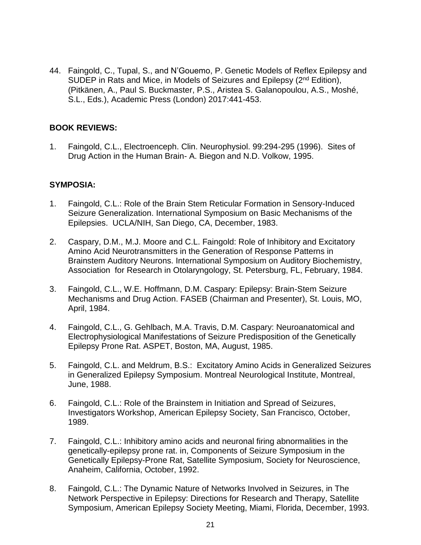44. Faingold, C., Tupal, S., and N'Gouemo, P. Genetic Models of Reflex Epilepsy and SUDEP in Rats and Mice, in Models of Seizures and Epilepsy (2<sup>nd</sup> Edition), (Pitkänen, A., Paul S. Buckmaster, P.S., Aristea S. Galanopoulou, A.S., Moshé, S.L., Eds.), Academic Press (London) 2017:441-453.

## **BOOK REVIEWS:**

1. Faingold, C.L., Electroenceph. Clin. Neurophysiol. 99:294-295 (1996). Sites of Drug Action in the Human Brain- A. Biegon and N.D. Volkow, 1995.

### **SYMPOSIA:**

- 1. Faingold, C.L.: Role of the Brain Stem Reticular Formation in Sensory-Induced Seizure Generalization. International Symposium on Basic Mechanisms of the Epilepsies. UCLA/NIH, San Diego, CA, December, 1983.
- 2. Caspary, D.M., M.J. Moore and C.L. Faingold: Role of Inhibitory and Excitatory Amino Acid Neurotransmitters in the Generation of Response Patterns in Brainstem Auditory Neurons. International Symposium on Auditory Biochemistry, Association for Research in Otolaryngology, St. Petersburg, FL, February, 1984.
- 3. Faingold, C.L., W.E. Hoffmann, D.M. Caspary: Epilepsy: Brain-Stem Seizure Mechanisms and Drug Action. FASEB (Chairman and Presenter), St. Louis, MO, April, 1984.
- 4. Faingold, C.L., G. Gehlbach, M.A. Travis, D.M. Caspary: Neuroanatomical and Electrophysiological Manifestations of Seizure Predisposition of the Genetically Epilepsy Prone Rat. ASPET, Boston, MA, August, 1985.
- 5. Faingold, C.L. and Meldrum, B.S.: Excitatory Amino Acids in Generalized Seizures in Generalized Epilepsy Symposium. Montreal Neurological Institute, Montreal, June, 1988.
- 6. Faingold, C.L.: Role of the Brainstem in Initiation and Spread of Seizures, Investigators Workshop, American Epilepsy Society, San Francisco, October, 1989.
- 7. Faingold, C.L.: Inhibitory amino acids and neuronal firing abnormalities in the genetically-epilepsy prone rat. in, Components of Seizure Symposium in the Genetically Epilepsy-Prone Rat, Satellite Symposium, Society for Neuroscience, Anaheim, California, October, 1992.
- 8. Faingold, C.L.: The Dynamic Nature of Networks Involved in Seizures, in The Network Perspective in Epilepsy: Directions for Research and Therapy, Satellite Symposium, American Epilepsy Society Meeting, Miami, Florida, December, 1993.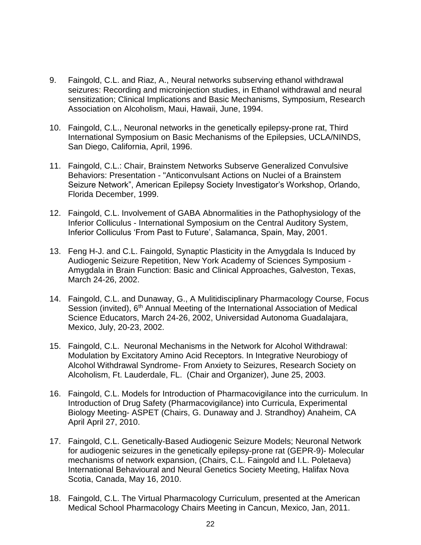- 9. Faingold, C.L. and Riaz, A., Neural networks subserving ethanol withdrawal seizures: Recording and microinjection studies, in Ethanol withdrawal and neural sensitization; Clinical Implications and Basic Mechanisms, Symposium, Research Association on Alcoholism, Maui, Hawaii, June, 1994.
- 10. Faingold, C.L., Neuronal networks in the genetically epilepsy-prone rat, Third International Symposium on Basic Mechanisms of the Epilepsies, UCLA/NINDS, San Diego, California, April, 1996.
- 11. Faingold, C.L.: Chair, Brainstem Networks Subserve Generalized Convulsive Behaviors: Presentation - "Anticonvulsant Actions on Nuclei of a Brainstem Seizure Network", American Epilepsy Society Investigator's Workshop, Orlando, Florida December, 1999.
- 12. Faingold, C.L. Involvement of GABA Abnormalities in the Pathophysiology of the Inferior Colliculus - International Symposium on the Central Auditory System, Inferior Colliculus 'From Past to Future', Salamanca, Spain, May, 2001.
- 13. Feng H-J. and C.L. Faingold, Synaptic Plasticity in the Amygdala Is Induced by Audiogenic Seizure Repetition, New York Academy of Sciences Symposium - Amygdala in Brain Function: Basic and Clinical Approaches, Galveston, Texas, March 24-26, 2002.
- 14. Faingold, C.L. and Dunaway, G., A Mulitidisciplinary Pharmacology Course, Focus Session (invited), 6<sup>th</sup> Annual Meeting of the International Association of Medical Science Educators, March 24-26, 2002, Universidad Autonoma Guadalajara, Mexico, July, 20-23, 2002.
- 15. Faingold, C.L. Neuronal Mechanisms in the Network for Alcohol Withdrawal: Modulation by Excitatory Amino Acid Receptors. In Integrative Neurobiogy of Alcohol Withdrawal Syndrome- From Anxiety to Seizures, Research Society on Alcoholism, Ft. Lauderdale, FL. (Chair and Organizer), June 25, 2003.
- 16. Faingold, C.L. Models for Introduction of Pharmacovigilance into the curriculum. In Introduction of Drug Safety (Pharmacovigilance) into Curricula, Experimental Biology Meeting- ASPET (Chairs, G. Dunaway and J. Strandhoy) Anaheim, CA April April 27, 2010.
- 17. Faingold, C.L. Genetically-Based Audiogenic Seizure Models; Neuronal Network for audiogenic seizures in the genetically epilepsy-prone rat (GEPR-9)- Molecular mechanisms of network expansion, (Chairs, C.L. Faingold and I.L. Poletaeva) International Behavioural and Neural Genetics Society Meeting, Halifax Nova Scotia, Canada, May 16, 2010.
- 18. Faingold, C.L. The Virtual Pharmacology Curriculum, presented at the American Medical School Pharmacology Chairs Meeting in Cancun, Mexico, Jan, 2011.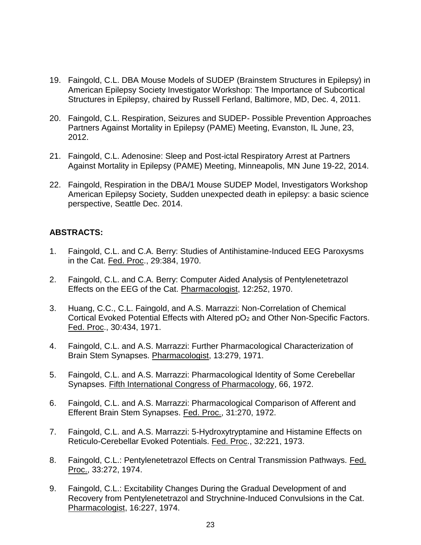- 19. Faingold, C.L. DBA Mouse Models of SUDEP (Brainstem Structures in Epilepsy) in American Epilepsy Society Investigator Workshop: The Importance of Subcortical Structures in Epilepsy, chaired by Russell Ferland, Baltimore, MD, Dec. 4, 2011.
- 20. Faingold, C.L. Respiration, Seizures and SUDEP- Possible Prevention Approaches Partners Against Mortality in Epilepsy (PAME) Meeting, Evanston, IL June, 23, 2012.
- 21. Faingold, C.L. Adenosine: Sleep and Post-ictal Respiratory Arrest at Partners Against Mortality in Epilepsy (PAME) Meeting, Minneapolis, MN June 19-22, 2014.
- 22. Faingold, Respiration in the DBA/1 Mouse SUDEP Model, Investigators Workshop American Epilepsy Society, Sudden unexpected death in epilepsy: a basic science perspective, Seattle Dec. 2014.

# **ABSTRACTS:**

- 1. Faingold, C.L. and C.A. Berry: Studies of Antihistamine-Induced EEG Paroxysms in the Cat. Fed. Proc., 29:384, 1970.
- 2. Faingold, C.L. and C.A. Berry: Computer Aided Analysis of Pentylenetetrazol Effects on the EEG of the Cat. Pharmacologist, 12:252, 1970.
- 3. Huang, C.C., C.L. Faingold, and A.S. Marrazzi: Non-Correlation of Chemical Cortical Evoked Potential Effects with Altered pO<sub>2</sub> and Other Non-Specific Factors. Fed. Proc., 30:434, 1971.
- 4. Faingold, C.L. and A.S. Marrazzi: Further Pharmacological Characterization of Brain Stem Synapses. Pharmacologist, 13:279, 1971.
- 5. Faingold, C.L. and A.S. Marrazzi: Pharmacological Identity of Some Cerebellar Synapses. Fifth International Congress of Pharmacology, 66, 1972.
- 6. Faingold, C.L. and A.S. Marrazzi: Pharmacological Comparison of Afferent and Efferent Brain Stem Synapses. Fed. Proc., 31:270, 1972.
- 7. Faingold, C.L. and A.S. Marrazzi: 5-Hydroxytryptamine and Histamine Effects on Reticulo-Cerebellar Evoked Potentials. Fed. Proc., 32:221, 1973.
- 8. Faingold, C.L.: Pentylenetetrazol Effects on Central Transmission Pathways. Fed. Proc., 33:272, 1974.
- 9. Faingold, C.L.: Excitability Changes During the Gradual Development of and Recovery from Pentylenetetrazol and Strychnine-Induced Convulsions in the Cat. Pharmacologist, 16:227, 1974.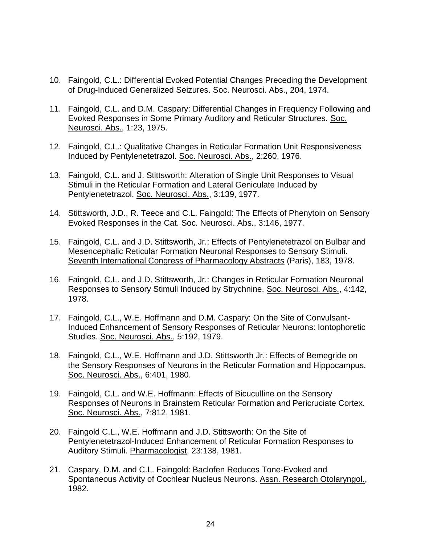- 10. Faingold, C.L.: Differential Evoked Potential Changes Preceding the Development of Drug-Induced Generalized Seizures. Soc. Neurosci. Abs., 204, 1974.
- 11. Faingold, C.L. and D.M. Caspary: Differential Changes in Frequency Following and Evoked Responses in Some Primary Auditory and Reticular Structures. Soc. Neurosci. Abs., 1:23, 1975.
- 12. Faingold, C.L.: Qualitative Changes in Reticular Formation Unit Responsiveness Induced by Pentylenetetrazol. Soc. Neurosci. Abs., 2:260, 1976.
- 13. Faingold, C.L. and J. Stittsworth: Alteration of Single Unit Responses to Visual Stimuli in the Reticular Formation and Lateral Geniculate Induced by Pentylenetetrazol. Soc. Neurosci. Abs., 3:139, 1977.
- 14. Stittsworth, J.D., R. Teece and C.L. Faingold: The Effects of Phenytoin on Sensory Evoked Responses in the Cat. Soc. Neurosci. Abs., 3:146, 1977.
- 15. Faingold, C.L. and J.D. Stittsworth, Jr.: Effects of Pentylenetetrazol on Bulbar and Mesencephalic Reticular Formation Neuronal Responses to Sensory Stimuli. Seventh International Congress of Pharmacology Abstracts (Paris), 183, 1978.
- 16. Faingold, C.L. and J.D. Stittsworth, Jr.: Changes in Reticular Formation Neuronal Responses to Sensory Stimuli Induced by Strychnine. Soc. Neurosci. Abs., 4:142, 1978.
- 17. Faingold, C.L., W.E. Hoffmann and D.M. Caspary: On the Site of Convulsant-Induced Enhancement of Sensory Responses of Reticular Neurons: Iontophoretic Studies. Soc. Neurosci. Abs., 5:192, 1979.
- 18. Faingold, C.L., W.E. Hoffmann and J.D. Stittsworth Jr.: Effects of Bemegride on the Sensory Responses of Neurons in the Reticular Formation and Hippocampus. Soc. Neurosci. Abs., 6:401, 1980.
- 19. Faingold, C.L. and W.E. Hoffmann: Effects of Bicuculline on the Sensory Responses of Neurons in Brainstem Reticular Formation and Pericruciate Cortex. Soc. Neurosci. Abs., 7:812, 1981.
- 20. Faingold C.L., W.E. Hoffmann and J.D. Stittsworth: On the Site of Pentylenetetrazol-Induced Enhancement of Reticular Formation Responses to Auditory Stimuli. Pharmacologist, 23:138, 1981.
- 21. Caspary, D.M. and C.L. Faingold: Baclofen Reduces Tone-Evoked and Spontaneous Activity of Cochlear Nucleus Neurons. Assn. Research Otolaryngol., 1982.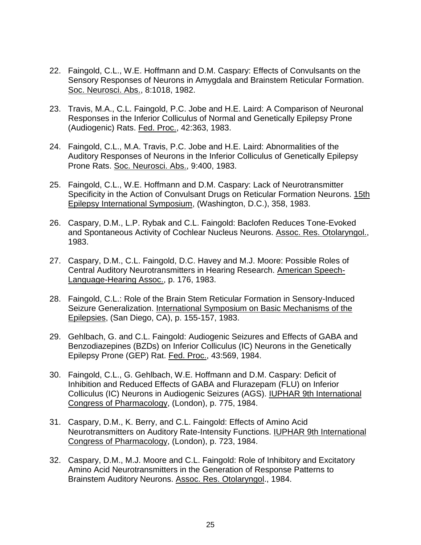- 22. Faingold, C.L., W.E. Hoffmann and D.M. Caspary: Effects of Convulsants on the Sensory Responses of Neurons in Amygdala and Brainstem Reticular Formation. Soc. Neurosci. Abs., 8:1018, 1982.
- 23. Travis, M.A., C.L. Faingold, P.C. Jobe and H.E. Laird: A Comparison of Neuronal Responses in the Inferior Colliculus of Normal and Genetically Epilepsy Prone (Audiogenic) Rats. Fed. Proc., 42:363, 1983.
- 24. Faingold, C.L., M.A. Travis, P.C. Jobe and H.E. Laird: Abnormalities of the Auditory Responses of Neurons in the Inferior Colliculus of Genetically Epilepsy Prone Rats. Soc. Neurosci. Abs., 9:400, 1983.
- 25. Faingold, C.L., W.E. Hoffmann and D.M. Caspary: Lack of Neurotransmitter Specificity in the Action of Convulsant Drugs on Reticular Formation Neurons. 15th Epilepsy International Symposium, (Washington, D.C.), 358, 1983.
- 26. Caspary, D.M., L.P. Rybak and C.L. Faingold: Baclofen Reduces Tone-Evoked and Spontaneous Activity of Cochlear Nucleus Neurons. Assoc. Res. Otolaryngol., 1983.
- 27. Caspary, D.M., C.L. Faingold, D.C. Havey and M.J. Moore: Possible Roles of Central Auditory Neurotransmitters in Hearing Research. American Speech-Language-Hearing Assoc., p. 176, 1983.
- 28. Faingold, C.L.: Role of the Brain Stem Reticular Formation in Sensory-Induced Seizure Generalization. International Symposium on Basic Mechanisms of the Epilepsies, (San Diego, CA), p. 155-157, 1983.
- 29. Gehlbach, G. and C.L. Faingold: Audiogenic Seizures and Effects of GABA and Benzodiazepines (BZDs) on Inferior Colliculus (IC) Neurons in the Genetically Epilepsy Prone (GEP) Rat. Fed. Proc., 43:569, 1984.
- 30. Faingold, C.L., G. Gehlbach, W.E. Hoffmann and D.M. Caspary: Deficit of Inhibition and Reduced Effects of GABA and Flurazepam (FLU) on Inferior Colliculus (IC) Neurons in Audiogenic Seizures (AGS). IUPHAR 9th International Congress of Pharmacology, (London), p. 775, 1984.
- 31. Caspary, D.M., K. Berry, and C.L. Faingold: Effects of Amino Acid Neurotransmitters on Auditory Rate-Intensity Functions. IUPHAR 9th International Congress of Pharmacology, (London), p. 723, 1984.
- 32. Caspary, D.M., M.J. Moore and C.L. Faingold: Role of Inhibitory and Excitatory Amino Acid Neurotransmitters in the Generation of Response Patterns to Brainstem Auditory Neurons. Assoc. Res. Otolaryngol., 1984.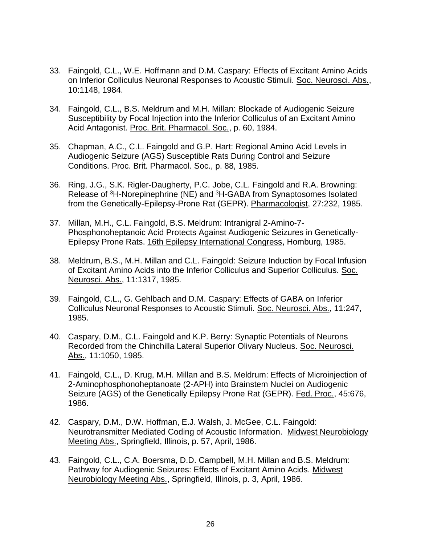- 33. Faingold, C.L., W.E. Hoffmann and D.M. Caspary: Effects of Excitant Amino Acids on Inferior Colliculus Neuronal Responses to Acoustic Stimuli. Soc. Neurosci. Abs., 10:1148, 1984.
- 34. Faingold, C.L., B.S. Meldrum and M.H. Millan: Blockade of Audiogenic Seizure Susceptibility by Focal Injection into the Inferior Colliculus of an Excitant Amino Acid Antagonist. Proc. Brit. Pharmacol. Soc., p. 60, 1984.
- 35. Chapman, A.C., C.L. Faingold and G.P. Hart: Regional Amino Acid Levels in Audiogenic Seizure (AGS) Susceptible Rats During Control and Seizure Conditions. Proc. Brit. Pharmacol. Soc., p. 88, 1985.
- 36. Ring, J.G., S.K. Rigler-Daugherty, P.C. Jobe, C.L. Faingold and R.A. Browning: Release of <sup>3</sup>H-Norepinephrine (NE) and <sup>3</sup>H-GABA from Synaptosomes Isolated from the Genetically-Epilepsy-Prone Rat (GEPR). Pharmacologist, 27:232, 1985.
- 37. Millan, M.H., C.L. Faingold, B.S. Meldrum: Intranigral 2-Amino-7- Phosphonoheptanoic Acid Protects Against Audiogenic Seizures in Genetically-Epilepsy Prone Rats. 16th Epilepsy International Congress, Homburg, 1985.
- 38. Meldrum, B.S., M.H. Millan and C.L. Faingold: Seizure Induction by Focal Infusion of Excitant Amino Acids into the Inferior Colliculus and Superior Colliculus. Soc. Neurosci. Abs., 11:1317, 1985.
- 39. Faingold, C.L., G. Gehlbach and D.M. Caspary: Effects of GABA on Inferior Colliculus Neuronal Responses to Acoustic Stimuli. Soc. Neurosci. Abs., 11:247, 1985.
- 40. Caspary, D.M., C.L. Faingold and K.P. Berry: Synaptic Potentials of Neurons Recorded from the Chinchilla Lateral Superior Olivary Nucleus. Soc. Neurosci. Abs., 11:1050, 1985.
- 41. Faingold, C.L., D. Krug, M.H. Millan and B.S. Meldrum: Effects of Microinjection of 2-Aminophosphonoheptanoate (2-APH) into Brainstem Nuclei on Audiogenic Seizure (AGS) of the Genetically Epilepsy Prone Rat (GEPR). Fed. Proc., 45:676, 1986.
- 42. Caspary, D.M., D.W. Hoffman, E.J. Walsh, J. McGee, C.L. Faingold: Neurotransmitter Mediated Coding of Acoustic Information. Midwest Neurobiology Meeting Abs., Springfield, Illinois, p. 57, April, 1986.
- 43. Faingold, C.L., C.A. Boersma, D.D. Campbell, M.H. Millan and B.S. Meldrum: Pathway for Audiogenic Seizures: Effects of Excitant Amino Acids. Midwest Neurobiology Meeting Abs., Springfield, Illinois, p. 3, April, 1986.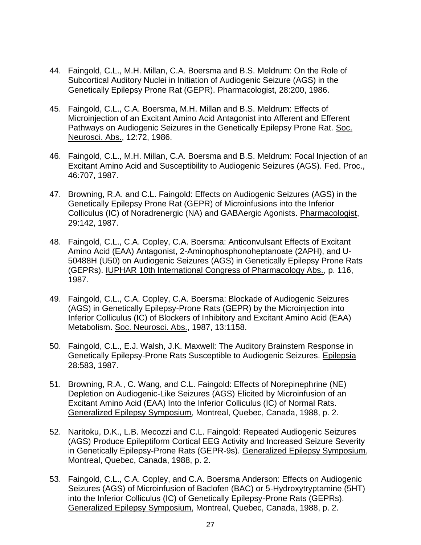- 44. Faingold, C.L., M.H. Millan, C.A. Boersma and B.S. Meldrum: On the Role of Subcortical Auditory Nuclei in Initiation of Audiogenic Seizure (AGS) in the Genetically Epilepsy Prone Rat (GEPR). Pharmacologist, 28:200, 1986.
- 45. Faingold, C.L., C.A. Boersma, M.H. Millan and B.S. Meldrum: Effects of Microinjection of an Excitant Amino Acid Antagonist into Afferent and Efferent Pathways on Audiogenic Seizures in the Genetically Epilepsy Prone Rat. Soc. Neurosci. Abs., 12:72, 1986.
- 46. Faingold, C.L., M.H. Millan, C.A. Boersma and B.S. Meldrum: Focal Injection of an Excitant Amino Acid and Susceptibility to Audiogenic Seizures (AGS). Fed. Proc., 46:707, 1987.
- 47. Browning, R.A. and C.L. Faingold: Effects on Audiogenic Seizures (AGS) in the Genetically Epilepsy Prone Rat (GEPR) of Microinfusions into the Inferior Colliculus (IC) of Noradrenergic (NA) and GABAergic Agonists. Pharmacologist, 29:142, 1987.
- 48. Faingold, C.L., C.A. Copley, C.A. Boersma: Anticonvulsant Effects of Excitant Amino Acid (EAA) Antagonist, 2-Aminophosphonoheptanoate (2APH), and U-50488H (U50) on Audiogenic Seizures (AGS) in Genetically Epilepsy Prone Rats (GEPRs). IUPHAR 10th International Congress of Pharmacology Abs., p. 116, 1987.
- 49. Faingold, C.L., C.A. Copley, C.A. Boersma: Blockade of Audiogenic Seizures (AGS) in Genetically Epilepsy-Prone Rats (GEPR) by the Microinjection into Inferior Colliculus (IC) of Blockers of Inhibitory and Excitant Amino Acid (EAA) Metabolism. Soc. Neurosci. Abs., 1987, 13:1158.
- 50. Faingold, C.L., E.J. Walsh, J.K. Maxwell: The Auditory Brainstem Response in Genetically Epilepsy-Prone Rats Susceptible to Audiogenic Seizures. Epilepsia 28:583, 1987.
- 51. Browning, R.A., C. Wang, and C.L. Faingold: Effects of Norepinephrine (NE) Depletion on Audiogenic-Like Seizures (AGS) Elicited by Microinfusion of an Excitant Amino Acid (EAA) Into the Inferior Colliculus (IC) of Normal Rats. Generalized Epilepsy Symposium, Montreal, Quebec, Canada, 1988, p. 2.
- 52. Naritoku, D.K., L.B. Mecozzi and C.L. Faingold: Repeated Audiogenic Seizures (AGS) Produce Epileptiform Cortical EEG Activity and Increased Seizure Severity in Genetically Epilepsy-Prone Rats (GEPR-9s). Generalized Epilepsy Symposium, Montreal, Quebec, Canada, 1988, p. 2.
- 53. Faingold, C.L., C.A. Copley, and C.A. Boersma Anderson: Effects on Audiogenic Seizures (AGS) of Microinfusion of Baclofen (BAC) or 5-Hydroxytryptamine (5HT) into the Inferior Colliculus (IC) of Genetically Epilepsy-Prone Rats (GEPRs). Generalized Epilepsy Symposium, Montreal, Quebec, Canada, 1988, p. 2.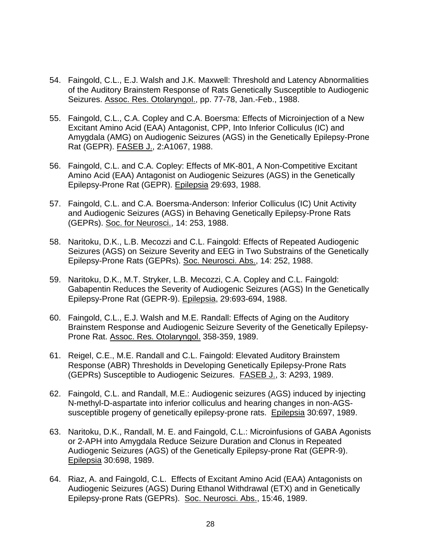- 54. Faingold, C.L., E.J. Walsh and J.K. Maxwell: Threshold and Latency Abnormalities of the Auditory Brainstem Response of Rats Genetically Susceptible to Audiogenic Seizures. Assoc. Res. Otolaryngol., pp. 77-78, Jan.-Feb., 1988.
- 55. Faingold, C.L., C.A. Copley and C.A. Boersma: Effects of Microinjection of a New Excitant Amino Acid (EAA) Antagonist, CPP, Into Inferior Colliculus (IC) and Amygdala (AMG) on Audiogenic Seizures (AGS) in the Genetically Epilepsy-Prone Rat (GEPR). FASEB J., 2:A1067, 1988.
- 56. Faingold, C.L. and C.A. Copley: Effects of MK-801, A Non-Competitive Excitant Amino Acid (EAA) Antagonist on Audiogenic Seizures (AGS) in the Genetically Epilepsy-Prone Rat (GEPR). Epilepsia 29:693, 1988.
- 57. Faingold, C.L. and C.A. Boersma-Anderson: Inferior Colliculus (IC) Unit Activity and Audiogenic Seizures (AGS) in Behaving Genetically Epilepsy-Prone Rats (GEPRs). Soc. for Neurosci., 14: 253, 1988.
- 58. Naritoku, D.K., L.B. Mecozzi and C.L. Faingold: Effects of Repeated Audiogenic Seizures (AGS) on Seizure Severity and EEG in Two Substrains of the Genetically Epilepsy-Prone Rats (GEPRs). Soc. Neurosci. Abs., 14: 252, 1988.
- 59. Naritoku, D.K., M.T. Stryker, L.B. Mecozzi, C.A. Copley and C.L. Faingold: Gabapentin Reduces the Severity of Audiogenic Seizures (AGS) In the Genetically Epilepsy-Prone Rat (GEPR-9). Epilepsia, 29:693-694, 1988.
- 60. Faingold, C.L., E.J. Walsh and M.E. Randall: Effects of Aging on the Auditory Brainstem Response and Audiogenic Seizure Severity of the Genetically Epilepsy-Prone Rat. Assoc. Res. Otolaryngol. 358-359, 1989.
- 61. Reigel, C.E., M.E. Randall and C.L. Faingold: Elevated Auditory Brainstem Response (ABR) Thresholds in Developing Genetically Epilepsy-Prone Rats (GEPRs) Susceptible to Audiogenic Seizures. FASEB J., 3: A293, 1989.
- 62. Faingold, C.L. and Randall, M.E.: Audiogenic seizures (AGS) induced by injecting N-methyl-D-aspartate into inferior colliculus and hearing changes in non-AGSsusceptible progeny of genetically epilepsy-prone rats. Epilepsia 30:697, 1989.
- 63. Naritoku, D.K., Randall, M. E. and Faingold, C.L.: Microinfusions of GABA Agonists or 2-APH into Amygdala Reduce Seizure Duration and Clonus in Repeated Audiogenic Seizures (AGS) of the Genetically Epilepsy-prone Rat (GEPR-9). Epilepsia 30:698, 1989.
- 64. Riaz, A. and Faingold, C.L. Effects of Excitant Amino Acid (EAA) Antagonists on Audiogenic Seizures (AGS) During Ethanol Withdrawal (ETX) and in Genetically Epilepsy-prone Rats (GEPRs). Soc. Neurosci. Abs., 15:46, 1989.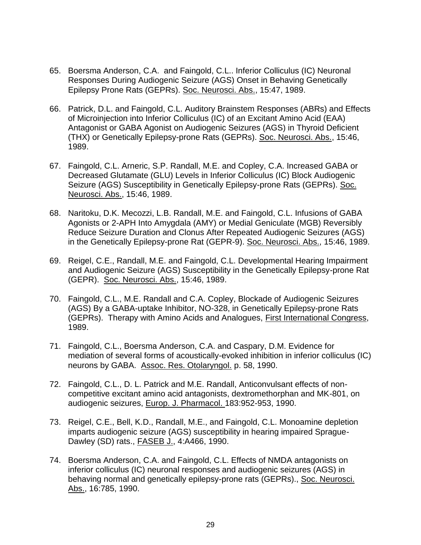- 65. Boersma Anderson, C.A. and Faingold, C.L.. Inferior Colliculus (IC) Neuronal Responses During Audiogenic Seizure (AGS) Onset in Behaving Genetically Epilepsy Prone Rats (GEPRs). Soc. Neurosci. Abs., 15:47, 1989.
- 66. Patrick, D.L. and Faingold, C.L. Auditory Brainstem Responses (ABRs) and Effects of Microinjection into Inferior Colliculus (IC) of an Excitant Amino Acid (EAA) Antagonist or GABA Agonist on Audiogenic Seizures (AGS) in Thyroid Deficient (THX) or Genetically Epilepsy-prone Rats (GEPRs). Soc. Neurosci. Abs., 15:46, 1989.
- 67. Faingold, C.L. Arneric, S.P. Randall, M.E. and Copley, C.A. Increased GABA or Decreased Glutamate (GLU) Levels in Inferior Colliculus (IC) Block Audiogenic Seizure (AGS) Susceptibility in Genetically Epilepsy-prone Rats (GEPRs). Soc. Neurosci. Abs., 15:46, 1989.
- 68. Naritoku, D.K. Mecozzi, L.B. Randall, M.E. and Faingold, C.L. Infusions of GABA Agonists or 2-APH Into Amygdala (AMY) or Medial Geniculate (MGB) Reversibly Reduce Seizure Duration and Clonus After Repeated Audiogenic Seizures (AGS) in the Genetically Epilepsy-prone Rat (GEPR-9). Soc. Neurosci. Abs., 15:46, 1989.
- 69. Reigel, C.E., Randall, M.E. and Faingold, C.L. Developmental Hearing Impairment and Audiogenic Seizure (AGS) Susceptibility in the Genetically Epilepsy-prone Rat (GEPR). Soc. Neurosci. Abs., 15:46, 1989.
- 70. Faingold, C.L., M.E. Randall and C.A. Copley, Blockade of Audiogenic Seizures (AGS) By a GABA-uptake Inhibitor, NO-328, in Genetically Epilepsy-prone Rats (GEPRs). Therapy with Amino Acids and Analogues, First International Congress, 1989.
- 71. Faingold, C.L., Boersma Anderson, C.A. and Caspary, D.M. Evidence for mediation of several forms of acoustically-evoked inhibition in inferior colliculus (IC) neurons by GABA. Assoc. Res. Otolaryngol. p. 58, 1990.
- 72. Faingold, C.L., D. L. Patrick and M.E. Randall, Anticonvulsant effects of noncompetitive excitant amino acid antagonists, dextromethorphan and MK-801, on audiogenic seizures, Europ. J. Pharmacol. 183:952-953, 1990.
- 73. Reigel, C.E., Bell, K.D., Randall, M.E., and Faingold, C.L. Monoamine depletion imparts audiogenic seizure (AGS) susceptibility in hearing impaired Sprague-Dawley (SD) rats., FASEB J., 4:A466, 1990.
- 74. Boersma Anderson, C.A. and Faingold, C.L. Effects of NMDA antagonists on inferior colliculus (IC) neuronal responses and audiogenic seizures (AGS) in behaving normal and genetically epilepsy-prone rats (GEPRs)., Soc. Neurosci. Abs., 16:785, 1990.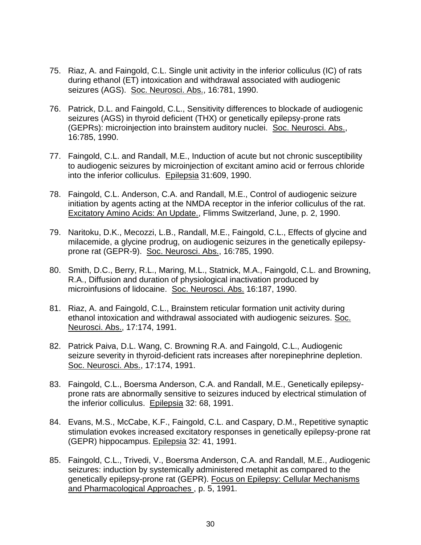- 75. Riaz, A. and Faingold, C.L. Single unit activity in the inferior colliculus (IC) of rats during ethanol (ET) intoxication and withdrawal associated with audiogenic seizures (AGS). Soc. Neurosci. Abs., 16:781, 1990.
- 76. Patrick, D.L. and Faingold, C.L., Sensitivity differences to blockade of audiogenic seizures (AGS) in thyroid deficient (THX) or genetically epilepsy-prone rats (GEPRs): microinjection into brainstem auditory nuclei. Soc. Neurosci. Abs., 16:785, 1990.
- 77. Faingold, C.L. and Randall, M.E., Induction of acute but not chronic susceptibility to audiogenic seizures by microinjection of excitant amino acid or ferrous chloride into the inferior colliculus. Epilepsia 31:609, 1990.
- 78. Faingold, C.L. Anderson, C.A. and Randall, M.E., Control of audiogenic seizure initiation by agents acting at the NMDA receptor in the inferior colliculus of the rat. Excitatory Amino Acids: An Update., Flimms Switzerland, June, p. 2, 1990.
- 79. Naritoku, D.K., Mecozzi, L.B., Randall, M.E., Faingold, C.L., Effects of glycine and milacemide, a glycine prodrug, on audiogenic seizures in the genetically epilepsyprone rat (GEPR-9). Soc. Neurosci. Abs., 16:785, 1990.
- 80. Smith, D.C., Berry, R.L., Maring, M.L., Statnick, M.A., Faingold, C.L. and Browning, R.A., Diffusion and duration of physiological inactivation produced by microinfusions of lidocaine. Soc. Neurosci. Abs. 16:187, 1990.
- 81. Riaz, A. and Faingold, C.L., Brainstem reticular formation unit activity during ethanol intoxication and withdrawal associated with audiogenic seizures. Soc. Neurosci. Abs., 17:174, 1991.
- 82. Patrick Paiva, D.L. Wang, C. Browning R.A. and Faingold, C.L., Audiogenic seizure severity in thyroid-deficient rats increases after norepinephrine depletion. Soc. Neurosci. Abs., 17:174, 1991.
- 83. Faingold, C.L., Boersma Anderson, C.A. and Randall, M.E., Genetically epilepsyprone rats are abnormally sensitive to seizures induced by electrical stimulation of the inferior colliculus. Epilepsia 32: 68, 1991.
- 84. Evans, M.S., McCabe, K.F., Faingold, C.L. and Caspary, D.M., Repetitive synaptic stimulation evokes increased excitatory responses in genetically epilepsy-prone rat (GEPR) hippocampus. Epilepsia 32: 41, 1991.
- 85. Faingold, C.L., Trivedi, V., Boersma Anderson, C.A. and Randall, M.E., Audiogenic seizures: induction by systemically administered metaphit as compared to the genetically epilepsy-prone rat (GEPR). Focus on Epilepsy: Cellular Mechanisms and Pharmacological Approaches , p. 5, 1991.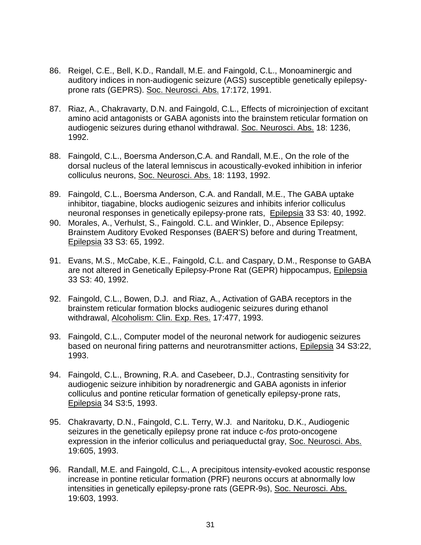- 86. Reigel, C.E., Bell, K.D., Randall, M.E. and Faingold, C.L., Monoaminergic and auditory indices in non-audiogenic seizure (AGS) susceptible genetically epilepsyprone rats (GEPRS). Soc. Neurosci. Abs. 17:172, 1991.
- 87. Riaz, A., Chakravarty, D.N. and Faingold, C.L., Effects of microinjection of excitant amino acid antagonists or GABA agonists into the brainstem reticular formation on audiogenic seizures during ethanol withdrawal. Soc. Neurosci. Abs. 18: 1236, 1992.
- 88. Faingold, C.L., Boersma Anderson,C.A. and Randall, M.E., On the role of the dorsal nucleus of the lateral lemniscus in acoustically-evoked inhibition in inferior colliculus neurons, Soc. Neurosci. Abs. 18: 1193, 1992.
- 89. Faingold, C.L., Boersma Anderson, C.A. and Randall, M.E., The GABA uptake inhibitor, tiagabine, blocks audiogenic seizures and inhibits inferior colliculus neuronal responses in genetically epilepsy-prone rats, Epilepsia 33 S3: 40, 1992.
- 90. Morales, A., Verhulst, S., Faingold. C.L. and Winkler, D., Absence Epilepsy: Brainstem Auditory Evoked Responses (BAER'S) before and during Treatment, Epilepsia 33 S3: 65, 1992.
- 91. Evans, M.S., McCabe, K.E., Faingold, C.L. and Caspary, D.M., Response to GABA are not altered in Genetically Epilepsy-Prone Rat (GEPR) hippocampus, Epilepsia 33 S3: 40, 1992.
- 92. Faingold, C.L., Bowen, D.J. and Riaz, A., Activation of GABA receptors in the brainstem reticular formation blocks audiogenic seizures during ethanol withdrawal, Alcoholism: Clin. Exp. Res. 17:477, 1993.
- 93. Faingold, C.L., Computer model of the neuronal network for audiogenic seizures based on neuronal firing patterns and neurotransmitter actions, Epilepsia 34 S3:22, 1993.
- 94. Faingold, C.L., Browning, R.A. and Casebeer, D.J., Contrasting sensitivity for audiogenic seizure inhibition by noradrenergic and GABA agonists in inferior colliculus and pontine reticular formation of genetically epilepsy-prone rats, Epilepsia 34 S3:5, 1993.
- 95. Chakravarty, D.N., Faingold, C.L. Terry, W.J. and Naritoku, D.K., Audiogenic seizures in the genetically epilepsy prone rat induce c-*fos* proto-oncogene expression in the inferior colliculus and periaqueductal gray, Soc. Neurosci. Abs. 19:605, 1993.
- 96. Randall, M.E. and Faingold, C.L., A precipitous intensity-evoked acoustic response increase in pontine reticular formation (PRF) neurons occurs at abnormally low intensities in genetically epilepsy-prone rats (GEPR-9s), Soc. Neurosci. Abs. 19:603, 1993.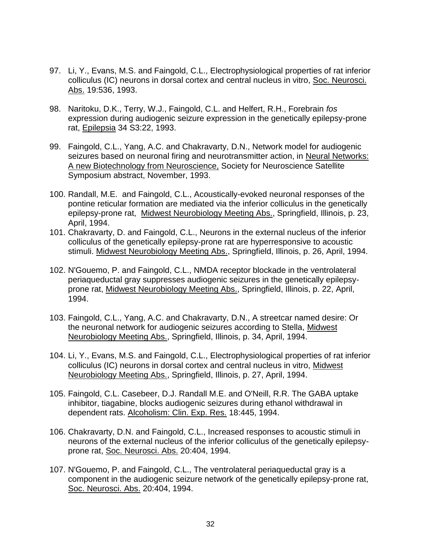- 97. Li, Y., Evans, M.S. and Faingold, C.L., Electrophysiological properties of rat inferior colliculus (IC) neurons in dorsal cortex and central nucleus in vitro, Soc. Neurosci. Abs. 19:536, 1993.
- 98. Naritoku, D.K., Terry, W.J., Faingold, C.L. and Helfert, R.H., Forebrain *fos* expression during audiogenic seizure expression in the genetically epilepsy-prone rat, Epilepsia 34 S3:22, 1993.
- 99. Faingold, C.L., Yang, A.C. and Chakravarty, D.N., Network model for audiogenic seizures based on neuronal firing and neurotransmitter action, in Neural Networks: A new Biotechnology from Neuroscience, Society for Neuroscience Satellite Symposium abstract, November, 1993.
- 100. Randall, M.E. and Faingold, C.L., Acoustically-evoked neuronal responses of the pontine reticular formation are mediated via the inferior colliculus in the genetically epilepsy-prone rat, Midwest Neurobiology Meeting Abs., Springfield, Illinois, p. 23, April, 1994.
- 101. Chakravarty, D. and Faingold, C.L., Neurons in the external nucleus of the inferior colliculus of the genetically epilepsy-prone rat are hyperresponsive to acoustic stimuli. Midwest Neurobiology Meeting Abs., Springfield, Illinois, p. 26, April, 1994.
- 102. N'Gouemo, P. and Faingold, C.L., NMDA receptor blockade in the ventrolateral periaqueductal gray suppresses audiogenic seizures in the genetically epilepsyprone rat, Midwest Neurobiology Meeting Abs., Springfield, Illinois, p. 22, April, 1994.
- 103. Faingold, C.L., Yang, A.C. and Chakravarty, D.N., A streetcar named desire: Or the neuronal network for audiogenic seizures according to Stella, Midwest Neurobiology Meeting Abs., Springfield, Illinois, p. 34, April, 1994.
- 104. Li, Y., Evans, M.S. and Faingold, C.L., Electrophysiological properties of rat inferior colliculus (IC) neurons in dorsal cortex and central nucleus in vitro, Midwest Neurobiology Meeting Abs., Springfield, Illinois, p. 27, April, 1994.
- 105. Faingold, C.L. Casebeer, D.J. Randall M.E. and O'Neill, R.R. The GABA uptake inhibitor, tiagabine, blocks audiogenic seizures during ethanol withdrawal in dependent rats. Alcoholism: Clin. Exp. Res. 18:445, 1994.
- 106. Chakravarty, D.N. and Faingold, C.L., Increased responses to acoustic stimuli in neurons of the external nucleus of the inferior colliculus of the genetically epilepsyprone rat, Soc. Neurosci. Abs. 20:404, 1994.
- 107. N'Gouemo, P. and Faingold, C.L., The ventrolateral periaqueductal gray is a component in the audiogenic seizure network of the genetically epilepsy-prone rat, Soc. Neurosci. Abs. 20:404, 1994.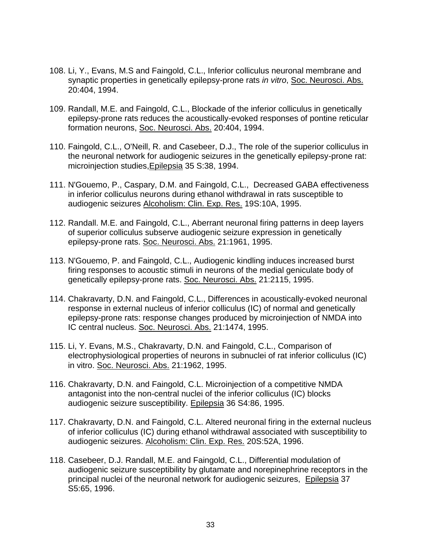- 108. Li, Y., Evans, M.S and Faingold, C.L., Inferior colliculus neuronal membrane and synaptic properties in genetically epilepsy-prone rats *in vitro*, Soc. Neurosci. Abs. 20:404, 1994.
- 109. Randall, M.E. and Faingold, C.L., Blockade of the inferior colliculus in genetically epilepsy-prone rats reduces the acoustically-evoked responses of pontine reticular formation neurons, Soc. Neurosci. Abs. 20:404, 1994.
- 110. Faingold, C.L., O'Neill, R. and Casebeer, D.J., The role of the superior colliculus in the neuronal network for audiogenic seizures in the genetically epilepsy-prone rat: microinjection studies,Epilepsia 35 S:38, 1994.
- 111. N'Gouemo, P., Caspary, D.M. and Faingold, C.L., Decreased GABA effectiveness in inferior colliculus neurons during ethanol withdrawal in rats susceptible to audiogenic seizures Alcoholism: Clin. Exp. Res. 19S:10A, 1995.
- 112. Randall. M.E. and Faingold, C.L., Aberrant neuronal firing patterns in deep layers of superior colliculus subserve audiogenic seizure expression in genetically epilepsy-prone rats. Soc. Neurosci. Abs. 21:1961, 1995.
- 113. N'Gouemo, P. and Faingold, C.L., Audiogenic kindling induces increased burst firing responses to acoustic stimuli in neurons of the medial geniculate body of genetically epilepsy-prone rats. Soc. Neurosci. Abs. 21:2115, 1995.
- 114. Chakravarty, D.N. and Faingold, C.L., Differences in acoustically-evoked neuronal response in external nucleus of inferior colliculus (IC) of normal and genetically epilepsy-prone rats: response changes produced by microinjection of NMDA into IC central nucleus. Soc. Neurosci. Abs. 21:1474, 1995.
- 115. Li, Y. Evans, M.S., Chakravarty, D.N. and Faingold, C.L., Comparison of electrophysiological properties of neurons in subnuclei of rat inferior colliculus (IC) in vitro. Soc. Neurosci. Abs. 21:1962, 1995.
- 116. Chakravarty, D.N. and Faingold, C.L. Microinjection of a competitive NMDA antagonist into the non-central nuclei of the inferior colliculus (IC) blocks audiogenic seizure susceptibility. Epilepsia 36 S4:86, 1995.
- 117. Chakravarty, D.N. and Faingold, C.L. Altered neuronal firing in the external nucleus of inferior colliculus (IC) during ethanol withdrawal associated with susceptibility to audiogenic seizures. Alcoholism: Clin. Exp. Res. 20S:52A, 1996.
- 118. Casebeer, D.J. Randall, M.E. and Faingold, C.L., Differential modulation of audiogenic seizure susceptibility by glutamate and norepinephrine receptors in the principal nuclei of the neuronal network for audiogenic seizures, Epilepsia 37 S5:65, 1996.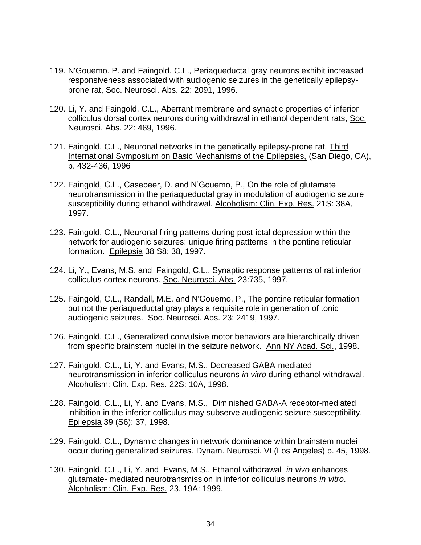- 119. N'Gouemo. P. and Faingold, C.L., Periaqueductal gray neurons exhibit increased responsiveness associated with audiogenic seizures in the genetically epilepsyprone rat, Soc. Neurosci. Abs. 22: 2091, 1996.
- 120. Li, Y. and Faingold, C.L., Aberrant membrane and synaptic properties of inferior colliculus dorsal cortex neurons during withdrawal in ethanol dependent rats, Soc. Neurosci. Abs. 22: 469, 1996.
- 121. Faingold, C.L., Neuronal networks in the genetically epilepsy-prone rat, *Third* International Symposium on Basic Mechanisms of the Epilepsies, (San Diego, CA), p. 432-436, 1996
- 122. Faingold, C.L., Casebeer, D. and N'Gouemo, P., On the role of glutamate neurotransmission in the periaqueductal gray in modulation of audiogenic seizure susceptibility during ethanol withdrawal. Alcoholism: Clin. Exp. Res. 21S: 38A, 1997.
- 123. Faingold, C.L., Neuronal firing patterns during post-ictal depression within the network for audiogenic seizures: unique firing pattterns in the pontine reticular formation. Epilepsia 38 S8: 38, 1997.
- 124. Li, Y., Evans, M.S. and Faingold, C.L., Synaptic response patterns of rat inferior colliculus cortex neurons. Soc. Neurosci. Abs. 23:735, 1997.
- 125. Faingold, C.L., Randall, M.E. and N'Gouemo, P., The pontine reticular formation but not the periaqueductal gray plays a requisite role in generation of tonic audiogenic seizures. Soc. Neurosci. Abs. 23: 2419, 1997.
- 126. Faingold, C.L., Generalized convulsive motor behaviors are hierarchically driven from specific brainstem nuclei in the seizure network. Ann NY Acad. Sci., 1998.
- 127. Faingold, C.L., Li, Y. and Evans, M.S., Decreased GABA-mediated neurotransmission in inferior colliculus neurons *in vitro* during ethanol withdrawal. Alcoholism: Clin. Exp. Res. 22S: 10A, 1998.
- 128. Faingold, C.L., Li, Y. and Evans, M.S., Diminished GABA-A receptor-mediated inhibition in the inferior colliculus may subserve audiogenic seizure susceptibility, Epilepsia 39 (S6): 37, 1998.
- 129. Faingold, C.L., Dynamic changes in network dominance within brainstem nuclei occur during generalized seizures. Dynam. Neurosci. VI (Los Angeles) p. 45, 1998.
- 130. Faingold, C.L., Li, Y. and Evans, M.S., Ethanol withdrawal *in vivo* enhances glutamate- mediated neurotransmission in inferior colliculus neurons *in vitro*. Alcoholism: Clin. Exp. Res. 23, 19A: 1999.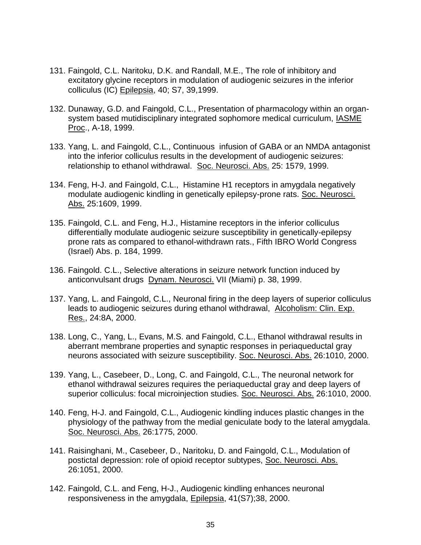- 131. Faingold, C.L. Naritoku, D.K. and Randall, M.E., The role of inhibitory and excitatory glycine receptors in modulation of audiogenic seizures in the inferior colliculus (IC) Epilepsia, 40; S7, 39,1999.
- 132. Dunaway, G.D. and Faingold, C.L., Presentation of pharmacology within an organsystem based mutidisciplinary integrated sophomore medical curriculum, IASME Proc., A-18, 1999.
- 133. Yang, L. and Faingold, C.L., Continuous infusion of GABA or an NMDA antagonist into the inferior colliculus results in the development of audiogenic seizures: relationship to ethanol withdrawal. Soc. Neurosci. Abs. 25: 1579, 1999.
- 134. Feng, H-J. and Faingold, C.L., Histamine H1 receptors in amygdala negatively modulate audiogenic kindling in genetically epilepsy-prone rats. Soc. Neurosci. Abs. 25:1609, 1999.
- 135. Faingold, C.L. and Feng, H.J., Histamine receptors in the inferior colliculus differentially modulate audiogenic seizure susceptibility in genetically-epilepsy prone rats as compared to ethanol-withdrawn rats., Fifth IBRO World Congress (Israel) Abs. p. 184, 1999.
- 136. Faingold. C.L., Selective alterations in seizure network function induced by anticonvulsant drugs Dynam. Neurosci. VII (Miami) p. 38, 1999.
- 137. Yang, L. and Faingold, C.L., Neuronal firing in the deep layers of superior colliculus leads to audiogenic seizures during ethanol withdrawal, Alcoholism: Clin. Exp. Res., 24:8A, 2000.
- 138. Long, C., Yang, L., Evans, M.S. and Faingold, C.L., Ethanol withdrawal results in aberrant membrane properties and synaptic responses in periaqueductal gray neurons associated with seizure susceptibility. Soc. Neurosci. Abs. 26:1010, 2000.
- 139. Yang, L., Casebeer, D., Long, C. and Faingold, C.L., The neuronal network for ethanol withdrawal seizures requires the periaqueductal gray and deep layers of superior colliculus: focal microinjection studies. Soc. Neurosci. Abs. 26:1010, 2000.
- 140. Feng, H-J. and Faingold, C.L., Audiogenic kindling induces plastic changes in the physiology of the pathway from the medial geniculate body to the lateral amygdala. Soc. Neurosci. Abs. 26:1775, 2000.
- 141. Raisinghani, M., Casebeer, D., Naritoku, D. and Faingold, C.L., Modulation of postictal depression: role of opioid receptor subtypes, Soc. Neurosci. Abs. 26:1051, 2000.
- 142. Faingold, C.L. and Feng, H-J., Audiogenic kindling enhances neuronal responsiveness in the amygdala, Epilepsia, 41(S7);38, 2000.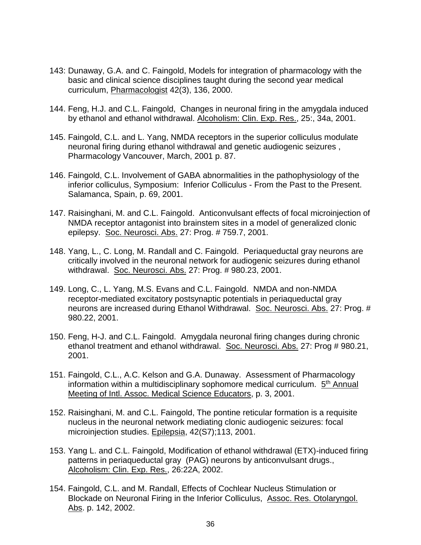- 143: Dunaway, G.A. and C. Faingold, Models for integration of pharmacology with the basic and clinical science disciplines taught during the second year medical curriculum, Pharmacologist 42(3), 136, 2000.
- 144. Feng, H.J. and C.L. Faingold, Changes in neuronal firing in the amygdala induced by ethanol and ethanol withdrawal. Alcoholism: Clin. Exp. Res., 25:, 34a, 2001.
- 145. Faingold, C.L. and L. Yang, NMDA receptors in the superior colliculus modulate neuronal firing during ethanol withdrawal and genetic audiogenic seizures , Pharmacology Vancouver, March, 2001 p. 87.
- 146. Faingold, C.L. Involvement of GABA abnormalities in the pathophysiology of the inferior colliculus, Symposium: Inferior Colliculus - From the Past to the Present. Salamanca, Spain, p. 69, 2001.
- 147. Raisinghani, M. and C.L. Faingold. Anticonvulsant effects of focal microinjection of NMDA receptor antagonist into brainstem sites in a model of generalized clonic epilepsy. Soc. Neurosci. Abs. 27: Prog. # 759.7, 2001.
- 148. Yang, L., C. Long, M. Randall and C. Faingold. Periaqueductal gray neurons are critically involved in the neuronal network for audiogenic seizures during ethanol withdrawal. Soc. Neurosci. Abs. 27: Prog. # 980.23, 2001.
- 149. Long, C., L. Yang, M.S. Evans and C.L. Faingold. NMDA and non-NMDA receptor-mediated excitatory postsynaptic potentials in periaqueductal gray neurons are increased during Ethanol Withdrawal. Soc. Neurosci. Abs. 27: Prog. # 980.22, 2001.
- 150. Feng, H-J. and C.L. Faingold. Amygdala neuronal firing changes during chronic ethanol treatment and ethanol withdrawal. Soc. Neurosci. Abs. 27: Prog # 980.21, 2001.
- 151. Faingold, C.L., A.C. Kelson and G.A. Dunaway. Assessment of Pharmacology information within a multidisciplinary sophomore medical curriculum. 5<sup>th</sup> Annual Meeting of Intl. Assoc. Medical Science Educators, p. 3, 2001.
- 152. Raisinghani, M. and C.L. Faingold, The pontine reticular formation is a requisite nucleus in the neuronal network mediating clonic audiogenic seizures: focal microinjection studies. Epilepsia, 42(S7);113, 2001.
- 153. Yang L. and C.L. Faingold, Modification of ethanol withdrawal (ETX)-induced firing patterns in periaqueductal gray (PAG) neurons by anticonvulsant drugs., Alcoholism: Clin. Exp. Res., 26:22A, 2002.
- 154. Faingold, C.L. and M. Randall, Effects of Cochlear Nucleus Stimulation or Blockade on Neuronal Firing in the Inferior Colliculus, Assoc. Res. Otolaryngol. Abs. p. 142, 2002.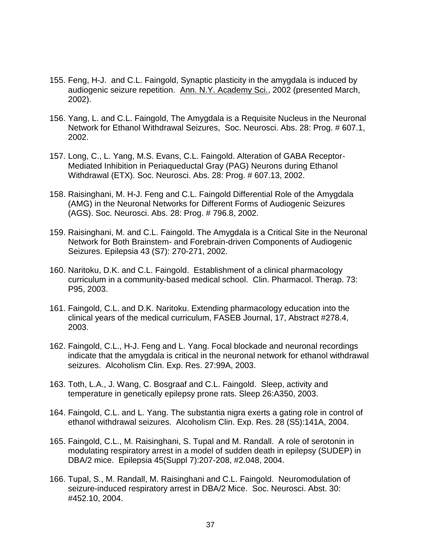- 155. Feng, H-J. and C.L. Faingold, Synaptic plasticity in the amygdala is induced by audiogenic seizure repetition. Ann. N.Y. Academy Sci., 2002 (presented March, 2002).
- 156. Yang, L. and C.L. Faingold, The Amygdala is a Requisite Nucleus in the Neuronal Network for Ethanol Withdrawal Seizures, Soc. Neurosci. Abs. 28: Prog. # 607.1, 2002.
- 157. Long, C., L. Yang, M.S. Evans, C.L. Faingold. Alteration of GABA Receptor-Mediated Inhibition in Periaqueductal Gray (PAG) Neurons during Ethanol Withdrawal (ETX). Soc. Neurosci. Abs. 28: Prog. # 607.13, 2002.
- 158. Raisinghani, M. H-J. Feng and C.L. Faingold Differential Role of the Amygdala (AMG) in the Neuronal Networks for Different Forms of Audiogenic Seizures (AGS). Soc. Neurosci. Abs. 28: Prog. # 796.8, 2002.
- 159. Raisinghani, M. and C.L. Faingold. The Amygdala is a Critical Site in the Neuronal Network for Both Brainstem- and Forebrain-driven Components of Audiogenic Seizures. Epilepsia 43 (S7): 270-271, 2002.
- 160. Naritoku, D.K. and C.L. Faingold. Establishment of a clinical pharmacology curriculum in a community-based medical school. Clin. Pharmacol. Therap. 73: P95, 2003.
- 161. Faingold, C.L. and D.K. Naritoku. Extending pharmacology education into the clinical years of the medical curriculum, FASEB Journal, 17, Abstract #278.4, 2003.
- 162. Faingold, C.L., H-J. Feng and L. Yang. Focal blockade and neuronal recordings indicate that the amygdala is critical in the neuronal network for ethanol withdrawal seizures. Alcoholism Clin. Exp. Res. 27:99A, 2003.
- 163. Toth, L.A., J. Wang, C. Bosgraaf and C.L. Faingold. Sleep, activity and temperature in genetically epilepsy prone rats. Sleep 26:A350, 2003.
- 164. Faingold, C.L. and L. Yang. The substantia nigra exerts a gating role in control of ethanol withdrawal seizures. Alcoholism Clin. Exp. Res. 28 (S5):141A, 2004.
- 165. Faingold, C.L., M. Raisinghani, S. Tupal and M. Randall. A role of serotonin in modulating respiratory arrest in a model of sudden death in epilepsy (SUDEP) in DBA/2 mice. Epilepsia 45(Suppl 7):207-208, #2.048, 2004.
- 166. Tupal, S., M. Randall, M. Raisinghani and C.L. Faingold. Neuromodulation of seizure-induced respiratory arrest in DBA/2 Mice. Soc. Neurosci. Abst. 30: #452.10, 2004.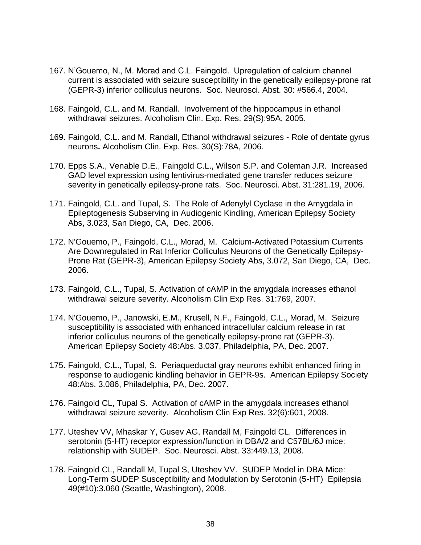- 167. N'Gouemo, N., M. Morad and C.L. Faingold. Upregulation of calcium channel current is associated with seizure susceptibility in the genetically epilepsy-prone rat (GEPR-3) inferior colliculus neurons. Soc. Neurosci. Abst. 30: #566.4, 2004.
- 168. Faingold, C.L. and M. Randall. Involvement of the hippocampus in ethanol withdrawal seizures. Alcoholism Clin. Exp. Res. 29(S):95A, 2005.
- 169. Faingold, C.L. and M. Randall, Ethanol withdrawal seizures Role of dentate gyrus neurons**.** Alcoholism Clin. Exp. Res. 30(S):78A, 2006.
- 170. Epps S.A., Venable D.E., Faingold C.L., Wilson S.P. and Coleman J.R. Increased GAD level expression using lentivirus-mediated gene transfer reduces seizure severity in genetically epilepsy-prone rats. Soc. Neurosci. Abst. 31:281.19, 2006.
- 171. Faingold, C.L. and Tupal, S. The Role of Adenylyl Cyclase in the Amygdala in Epileptogenesis Subserving in Audiogenic Kindling, American Epilepsy Society Abs, 3.023, San Diego, CA, Dec. 2006.
- 172. N'Gouemo, P., Faingold, C.L., Morad, M. Calcium-Activated Potassium Currents Are Downregulated in Rat Inferior Colliculus Neurons of the Genetically Epilepsy-Prone Rat (GEPR-3), American Epilepsy Society Abs, 3.072, San Diego, CA, Dec. 2006.
- 173. Faingold, C.L., Tupal, S. Activation of cAMP in the amygdala increases ethanol withdrawal seizure severity. Alcoholism Clin Exp Res. 31:769, 2007.
- 174. N'Gouemo, P., Janowski, E.M., Krusell, N.F., Faingold, C.L., Morad, M. Seizure susceptibility is associated with enhanced intracellular calcium release in rat inferior colliculus neurons of the genetically epilepsy-prone rat (GEPR-3). American Epilepsy Society 48:Abs. 3.037, Philadelphia, PA, Dec. 2007.
- 175. Faingold, C.L., Tupal, S. Periaqueductal gray neurons exhibit enhanced firing in response to audiogenic kindling behavior in GEPR-9s. American Epilepsy Society 48:Abs. 3.086, Philadelphia, PA, Dec. 2007.
- 176. Faingold CL, Tupal S. Activation of cAMP in the amygdala increases ethanol withdrawal seizure severity. Alcoholism Clin Exp Res. 32(6):601, 2008.
- 177. Uteshev VV, Mhaskar Y, Gusev AG, Randall M, Faingold CL. Differences in serotonin (5-HT) receptor expression/function in DBA/2 and C57BL/6J mice: relationship with SUDEP. Soc. Neurosci. Abst. 33:449.13, 2008.
- 178. Faingold CL, Randall M, Tupal S, Uteshev VV. SUDEP Model in DBA Mice: Long-Term SUDEP Susceptibility and Modulation by Serotonin (5-HT) Epilepsia 49(#10):3.060 (Seattle, Washington), 2008.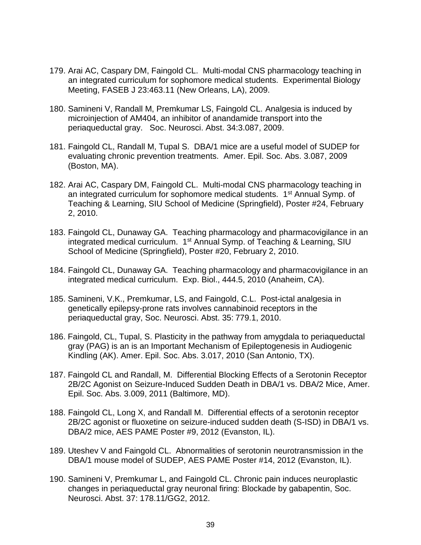- 179. Arai AC, Caspary DM, Faingold CL. Multi-modal CNS pharmacology teaching in an integrated curriculum for sophomore medical students. Experimental Biology Meeting, FASEB J 23:463.11 (New Orleans, LA), 2009.
- 180. Samineni V, Randall M, Premkumar LS, Faingold CL. Analgesia is induced by microinjection of AM404, an inhibitor of anandamide transport into the periaqueductal gray. Soc. Neurosci. Abst. 34:3.087, 2009.
- 181. Faingold CL, Randall M, Tupal S. DBA/1 mice are a useful model of SUDEP for evaluating chronic prevention treatments. Amer. Epil. Soc. Abs. 3.087, 2009 (Boston, MA).
- 182. Arai AC, Caspary DM, Faingold CL. Multi-modal CNS pharmacology teaching in an integrated curriculum for sophomore medical students. 1<sup>st</sup> Annual Symp. of Teaching & Learning, SIU School of Medicine (Springfield), Poster #24, February 2, 2010.
- 183. Faingold CL, Dunaway GA. Teaching pharmacology and pharmacovigilance in an integrated medical curriculum. 1<sup>st</sup> Annual Symp. of Teaching & Learning, SIU School of Medicine (Springfield), Poster #20, February 2, 2010.
- 184. Faingold CL, Dunaway GA. Teaching pharmacology and pharmacovigilance in an integrated medical curriculum. Exp. Biol., 444.5, 2010 (Anaheim, CA).
- 185. Samineni, V.K., Premkumar, LS, and Faingold, C.L. Post-ictal analgesia in genetically epilepsy-prone rats involves cannabinoid receptors in the periaqueductal gray, Soc. Neurosci. Abst. 35: 779.1, 2010.
- 186. Faingold, CL, Tupal, S. Plasticity in the pathway from amygdala to periaqueductal gray (PAG) is an is an Important Mechanism of Epileptogenesis in Audiogenic Kindling (AK). Amer. Epil. Soc. Abs. 3.017, 2010 (San Antonio, TX).
- 187. Faingold CL and Randall, M. Differential Blocking Effects of a Serotonin Receptor 2B/2C Agonist on Seizure-Induced Sudden Death in DBA/1 vs. DBA/2 Mice, Amer. Epil. Soc. Abs. 3.009, 2011 (Baltimore, MD).
- 188. Faingold CL, Long X, and Randall M. Differential effects of a serotonin receptor 2B/2C agonist or fluoxetine on seizure-induced sudden death (S-ISD) in DBA/1 vs. DBA/2 mice, AES PAME Poster #9, 2012 (Evanston, IL).
- 189. Uteshev V and Faingold CL. Abnormalities of serotonin neurotransmission in the DBA/1 mouse model of SUDEP, AES PAME Poster #14, 2012 (Evanston, IL).
- 190. Samineni V, Premkumar L, and Faingold CL. Chronic pain induces neuroplastic changes in periaqueductal gray neuronal firing: Blockade by gabapentin, Soc. Neurosci. Abst. 37: 178.11/GG2, 2012.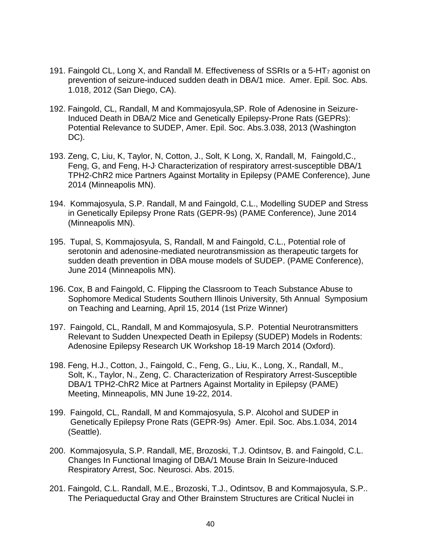- 191. Faingold CL, Long X, and Randall M. Effectiveness of SSRIs or a 5-HT $_7$  agonist on prevention of seizure-induced sudden death in DBA/1 mice. Amer. Epil. Soc. Abs. 1.018, 2012 (San Diego, CA).
- 192. Faingold, CL, Randall, M and Kommajosyula,SP. Role of Adenosine in Seizure-Induced Death in DBA/2 Mice and Genetically Epilepsy-Prone Rats (GEPRs): Potential Relevance to SUDEP, Amer. Epil. Soc. Abs.3.038, 2013 (Washington DC).
- 193. Zeng, C, Liu, K, Taylor, N, Cotton, J., Solt, K Long, X, Randall, M, Faingold,C., Feng, G, and Feng, H-J Characterization of respiratory arrest-susceptible DBA/1 TPH2-ChR2 mice Partners Against Mortality in Epilepsy (PAME Conference), June 2014 (Minneapolis MN).
- 194. Kommajosyula, S.P. Randall, M and Faingold, C.L., Modelling SUDEP and Stress in Genetically Epilepsy Prone Rats (GEPR-9s) (PAME Conference), June 2014 (Minneapolis MN).
- 195. Tupal, S, Kommajosyula, S, Randall, M and Faingold, C.L., Potential role of serotonin and adenosine-mediated neurotransmission as therapeutic targets for sudden death prevention in DBA mouse models of SUDEP. (PAME Conference), June 2014 (Minneapolis MN).
- 196. Cox, B and Faingold, C. Flipping the Classroom to Teach Substance Abuse to Sophomore Medical Students Southern Illinois University, 5th Annual Symposium on Teaching and Learning, April 15, 2014 (1st Prize Winner)
- 197. Faingold, CL, Randall, M and Kommajosyula, S.P. Potential Neurotransmitters Relevant to Sudden Unexpected Death in Epilepsy (SUDEP) Models in Rodents: Adenosine Epilepsy Research UK Workshop 18-19 March 2014 (Oxford).
- 198. Feng, H.J., Cotton, J., Faingold, C., Feng, G., Liu, K., Long, X., Randall, M., Solt, K., Taylor, N., Zeng, C. Characterization of Respiratory Arrest-Susceptible DBA/1 TPH2-ChR2 Mice at Partners Against Mortality in Epilepsy (PAME) Meeting, Minneapolis, MN June 19-22, 2014.
- 199. Faingold, CL, Randall, M and Kommajosyula, S.P. Alcohol and SUDEP in Genetically Epilepsy Prone Rats (GEPR-9s) Amer. Epil. Soc. Abs.1.034, 2014 (Seattle).
- 200. Kommajosyula, S.P. Randall, ME, Brozoski, T.J. Odintsov, B. and Faingold, C.L. Changes In Functional Imaging of DBA/1 Mouse Brain In Seizure-Induced Respiratory Arrest, Soc. Neurosci. Abs. 2015.
- 201. Faingold, C.L. Randall, M.E., Brozoski, T.J., Odintsov, B and Kommajosyula, S.P.. The Periaqueductal Gray and Other Brainstem Structures are Critical Nuclei in